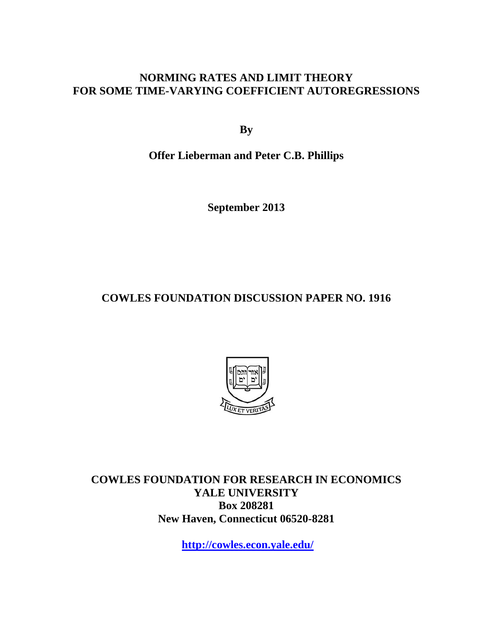### **NORMING RATES AND LIMIT THEORY FOR SOME TIME-VARYING COEFFICIENT AUTOREGRESSIONS**

**By** 

**Offer Lieberman and Peter C.B. Phillips** 

**September 2013** 

**COWLES FOUNDATION DISCUSSION PAPER NO. 1916** 



**COWLES FOUNDATION FOR RESEARCH IN ECONOMICS YALE UNIVERSITY Box 208281 New Haven, Connecticut 06520-8281** 

**http://cowles.econ.yale.edu/**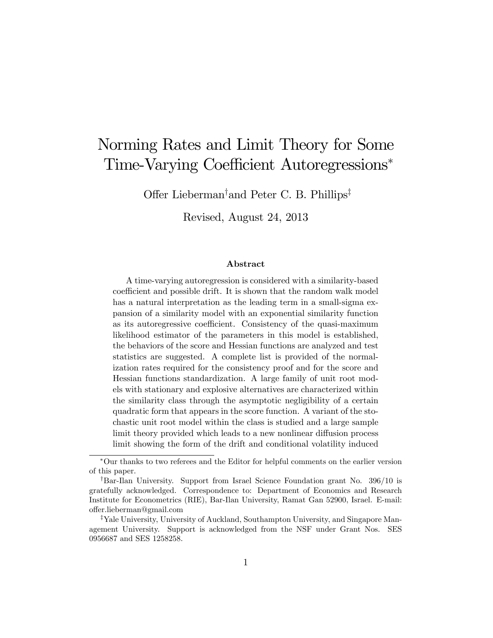# Norming Rates and Limit Theory for Some Time-Varying Coefficient Autoregressions\*

Offer Lieberman<sup>†</sup> and Peter C. B. Phillips<sup>‡</sup>

Revised, August 24, 2013

#### Abstract

A time-varying autoregression is considered with a similarity-based coefficient and possible drift. It is shown that the random walk model has a natural interpretation as the leading term in a small-sigma expansion of a similarity model with an exponential similarity function as its autoregressive coefficient. Consistency of the quasi-maximum likelihood estimator of the parameters in this model is established, the behaviors of the score and Hessian functions are analyzed and test statistics are suggested. A complete list is provided of the normalization rates required for the consistency proof and for the score and Hessian functions standardization. A large family of unit root models with stationary and explosive alternatives are characterized within the similarity class through the asymptotic negligibility of a certain quadratic form that appears in the score function. A variant of the stochastic unit root model within the class is studied and a large sample limit theory provided which leads to a new nonlinear diffusion process limit showing the form of the drift and conditional volatility induced

Our thanks to two referees and the Editor for helpful comments on the earlier version of this paper.

<sup>&</sup>lt;sup>†</sup>Bar-Ilan University. Support from Israel Science Foundation grant No. 396/10 is gratefully acknowledged. Correspondence to: Department of Economics and Research Institute for Econometrics (RIE), Bar-Ilan University, Ramat Gan 52900, Israel. E-mail: o§er.lieberman@gmail.com

<sup>&</sup>lt;sup>‡</sup>Yale University, University of Auckland, Southampton University, and Singapore Management University. Support is acknowledged from the NSF under Grant Nos. SES 0956687 and SES 1258258.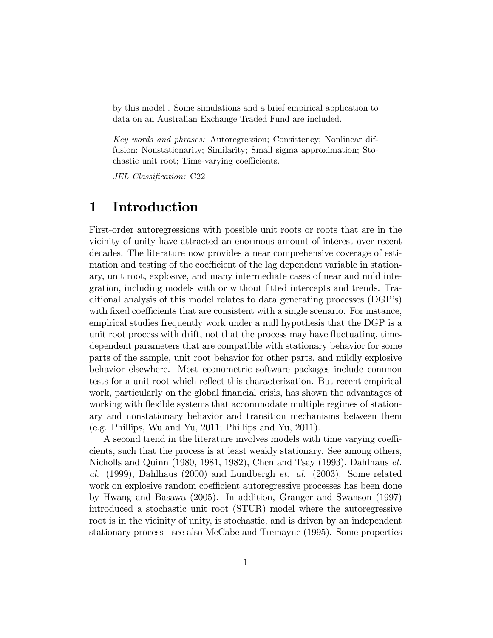by this model . Some simulations and a brief empirical application to data on an Australian Exchange Traded Fund are included.

Key words and phrases: Autoregression; Consistency; Nonlinear diffusion; Nonstationarity; Similarity; Small sigma approximation; Stochastic unit root; Time-varying coefficients.

JEL Classification: C22

# 1 Introduction

First-order autoregressions with possible unit roots or roots that are in the vicinity of unity have attracted an enormous amount of interest over recent decades. The literature now provides a near comprehensive coverage of estimation and testing of the coefficient of the lag dependent variable in stationary, unit root, explosive, and many intermediate cases of near and mild integration, including models with or without fitted intercepts and trends. Traditional analysis of this model relates to data generating processes (DGP's) with fixed coefficients that are consistent with a single scenario. For instance, empirical studies frequently work under a null hypothesis that the DGP is a unit root process with drift, not that the process may have fluctuating, timedependent parameters that are compatible with stationary behavior for some parts of the sample, unit root behavior for other parts, and mildly explosive behavior elsewhere. Most econometric software packages include common tests for a unit root which reflect this characterization. But recent empirical work, particularly on the global financial crisis, has shown the advantages of working with flexible systems that accommodate multiple regimes of stationary and nonstationary behavior and transition mechanisms between them (e.g. Phillips, Wu and Yu, 2011; Phillips and Yu, 2011).

A second trend in the literature involves models with time varying coefficients, such that the process is at least weakly stationary. See among others, Nicholls and Quinn (1980, 1981, 1982), Chen and Tsay (1993), Dahlhaus  $et.$ al.  $(1999)$ , Dahlhaus  $(2000)$  and Lundbergh *et. al.*  $(2003)$ . Some related work on explosive random coefficient autoregressive processes has been done by Hwang and Basawa (2005). In addition, Granger and Swanson (1997) introduced a stochastic unit root (STUR) model where the autoregressive root is in the vicinity of unity, is stochastic, and is driven by an independent stationary process - see also McCabe and Tremayne (1995). Some properties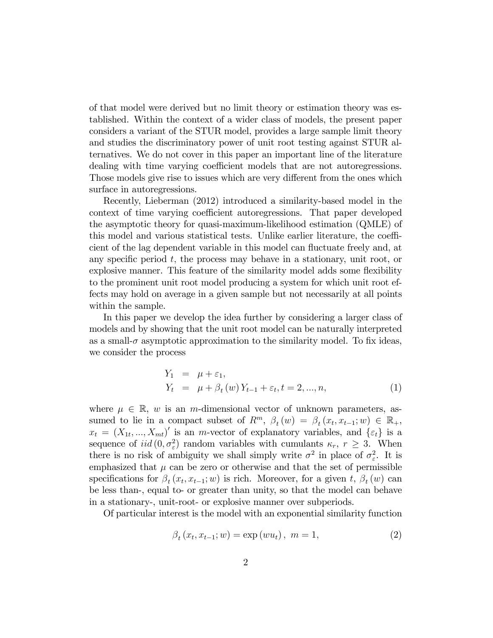of that model were derived but no limit theory or estimation theory was established. Within the context of a wider class of models, the present paper considers a variant of the STUR model, provides a large sample limit theory and studies the discriminatory power of unit root testing against STUR alternatives. We do not cover in this paper an important line of the literature dealing with time varying coefficient models that are not autoregressions. Those models give rise to issues which are very different from the ones which surface in autoregressions.

Recently, Lieberman (2012) introduced a similarity-based model in the context of time varying coefficient autoregressions. That paper developed the asymptotic theory for quasi-maximum-likelihood estimation (QMLE) of this model and various statistical tests. Unlike earlier literature, the coefficient of the lag dependent variable in this model can fluctuate freely and, at any specific period  $t$ , the process may behave in a stationary, unit root, or explosive manner. This feature of the similarity model adds some flexibility to the prominent unit root model producing a system for which unit root effects may hold on average in a given sample but not necessarily at all points within the sample.

In this paper we develop the idea further by considering a larger class of models and by showing that the unit root model can be naturally interpreted as a small- $\sigma$  asymptotic approximation to the similarity model. To fix ideas, we consider the process

$$
Y_1 = \mu + \varepsilon_1,
$$
  
\n
$$
Y_t = \mu + \beta_t(w) Y_{t-1} + \varepsilon_t, t = 2, ..., n,
$$
\n(1)

where  $\mu \in \mathbb{R}$ , w is an m-dimensional vector of unknown parameters, assumed to lie in a compact subset of  $R^m$ ,  $\beta_t(w) = \beta_t(x_t, x_{t-1}; w) \in \mathbb{R}_+$ ,  $x_t = (X_{1t},...,X_{mt})'$  is an *m*-vector of explanatory variables, and  $\{\varepsilon_t\}$  is a sequence of  $iid(0, \sigma_{\varepsilon}^2)$  random variables with cumulants  $\kappa_r$ ,  $r \geq 3$ . When there is no risk of ambiguity we shall simply write  $\sigma^2$  in place of  $\sigma_{\varepsilon}^2$ . It is emphasized that  $\mu$  can be zero or otherwise and that the set of permissible specifications for  $\beta_t(x_t, x_{t-1}; w)$  is rich. Moreover, for a given t,  $\beta_t(w)$  can be less than-, equal to- or greater than unity, so that the model can behave in a stationary-, unit-root- or explosive manner over subperiods.

Of particular interest is the model with an exponential similarity function

$$
\beta_t(x_t, x_{t-1}; w) = \exp(wu_t), \ m = 1,
$$
\n(2)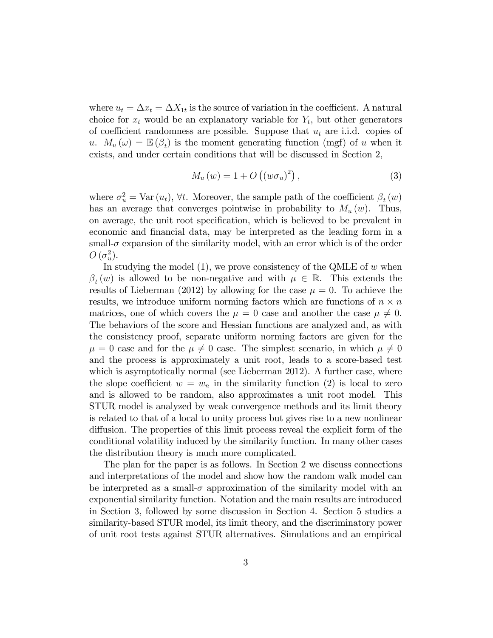where  $u_t = \Delta x_t = \Delta X_{1t}$  is the source of variation in the coefficient. A natural choice for  $x_t$  would be an explanatory variable for  $Y_t$ , but other generators of coefficient randomness are possible. Suppose that  $u_t$  are i.i.d. copies of u.  $M_u(\omega) = \mathbb{E}(\beta_t)$  is the moment generating function (mgf) of u when it exists, and under certain conditions that will be discussed in Section 2,

$$
M_u(w) = 1 + O\left(\left(w\sigma_u\right)^2\right),\tag{3}
$$

where  $\sigma_u^2 = \text{Var}(u_t)$ ,  $\forall t$ . Moreover, the sample path of the coefficient  $\beta_t(w)$ has an average that converges pointwise in probability to  $M_u(w)$ . Thus, on average, the unit root speciÖcation, which is believed to be prevalent in economic and Önancial data, may be interpreted as the leading form in a small- $\sigma$  expansion of the similarity model, with an error which is of the order  $O(\sigma_u^2)$ .

In studying the model  $(1)$ , we prove consistency of the QMLE of w when  $\beta_t(w)$  is allowed to be non-negative and with  $\mu \in \mathbb{R}$ . This extends the results of Lieberman (2012) by allowing for the case  $\mu = 0$ . To achieve the results, we introduce uniform norming factors which are functions of  $n \times n$ matrices, one of which covers the  $\mu = 0$  case and another the case  $\mu \neq 0$ . The behaviors of the score and Hessian functions are analyzed and, as with the consistency proof, separate uniform norming factors are given for the  $\mu = 0$  case and for the  $\mu \neq 0$  case. The simplest scenario, in which  $\mu \neq 0$ and the process is approximately a unit root, leads to a score-based test which is asymptotically normal (see Lieberman 2012). A further case, where the slope coefficient  $w = w_n$  in the similarity function (2) is local to zero and is allowed to be random, also approximates a unit root model. This STUR model is analyzed by weak convergence methods and its limit theory is related to that of a local to unity process but gives rise to a new nonlinear diffusion. The properties of this limit process reveal the explicit form of the conditional volatility induced by the similarity function. In many other cases the distribution theory is much more complicated.

The plan for the paper is as follows. In Section 2 we discuss connections and interpretations of the model and show how the random walk model can be interpreted as a small- $\sigma$  approximation of the similarity model with an exponential similarity function. Notation and the main results are introduced in Section 3, followed by some discussion in Section 4. Section 5 studies a similarity-based STUR model, its limit theory, and the discriminatory power of unit root tests against STUR alternatives. Simulations and an empirical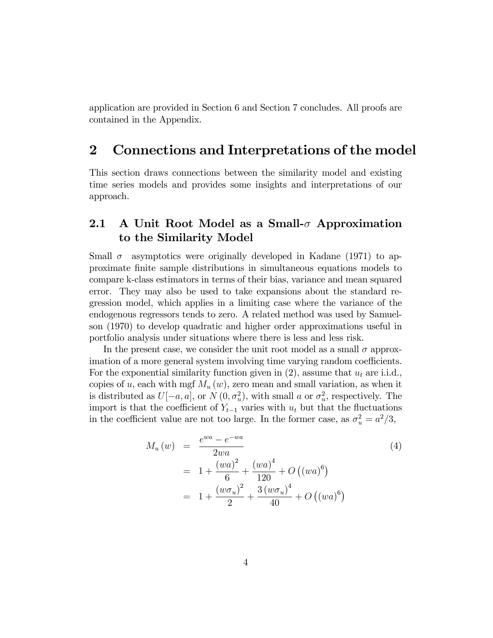application are provided in Section 6 and Section 7 concludes. All proofs are contained in the Appendix.

## 2 Connections and Interpretations of the model

This section draws connections between the similarity model and existing time series models and provides some insights and interpretations of our approach.

### 2.1 A Unit Root Model as a Small- $\sigma$  Approximation to the Similarity Model

Small  $\sigma$  asymptotics were originally developed in Kadane (1971) to approximate Önite sample distributions in simultaneous equations models to compare k-class estimators in terms of their bias, variance and mean squared error. They may also be used to take expansions about the standard regression model, which applies in a limiting case where the variance of the endogenous regressors tends to zero. A related method was used by Samuelson (1970) to develop quadratic and higher order approximations useful in portfolio analysis under situations where there is less and less risk.

In the present case, we consider the unit root model as a small  $\sigma$  approximation of a more general system involving time varying random coefficients. For the exponential similarity function given in  $(2)$ , assume that  $u_t$  are i.i.d., copies of u, each with mgf  $M_u(w)$ , zero mean and small variation, as when it is distributed as  $U[-a, a]$ , or  $N(0, \sigma_u^2)$ , with small a or  $\sigma_u^2$ , respectively. The import is that the coefficient of  $Y_{t-1}$  varies with  $u_t$  but that the fluctuations in the coefficient value are not too large. In the former case, as  $\sigma_u^2 = a^2/3$ ,

$$
M_u(w) = \frac{e^{wa} - e^{-wa}}{2wa}
$$
  
=  $1 + \frac{(wa)^2}{6} + \frac{(wa)^4}{120} + O((wa)^6)$   
=  $1 + \frac{(w\sigma_u)^2}{2} + \frac{3(w\sigma_u)^4}{40} + O((wa)^6)$  (4)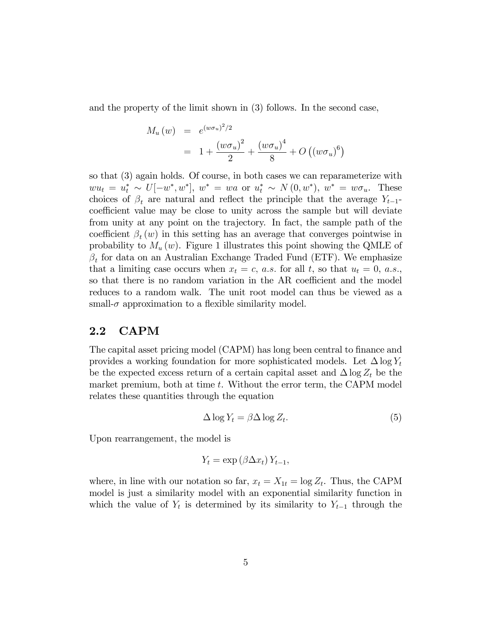and the property of the limit shown in (3) follows. In the second case,

$$
M_u(w) = e^{(w\sigma_u)^2/2}
$$
  
=  $1 + \frac{(w\sigma_u)^2}{2} + \frac{(w\sigma_u)^4}{8} + O((w\sigma_u)^6)$ 

so that (3) again holds. Of course, in both cases we can reparameterize with  $wu_t = u_t^* \sim U[-w^*, w^*], w^* = wa \text{ or } u_t^* \sim N(0, w^*), w^* = w\sigma_u.$  These choices of  $\beta_t$  are natural and reflect the principle that the average  $Y_{t-1}$ coefficient value may be close to unity across the sample but will deviate from unity at any point on the trajectory. In fact, the sample path of the coefficient  $\beta_t(w)$  in this setting has an average that converges pointwise in probability to  $M_u(w)$ . Figure 1 illustrates this point showing the QMLE of  $\beta_t$  for data on an Australian Exchange Traded Fund (ETF). We emphasize that a limiting case occurs when  $x_t = c$ , a.s. for all t, so that  $u_t = 0$ , a.s., so that there is no random variation in the AR coefficient and the model reduces to a random walk. The unit root model can thus be viewed as a small- $\sigma$  approximation to a flexible similarity model.

#### 2.2 CAPM

The capital asset pricing model (CAPM) has long been central to finance and provides a working foundation for more sophisticated models. Let  $\Delta \log Y_t$ be the expected excess return of a certain capital asset and  $\Delta \log Z_t$  be the market premium, both at time  $t$ . Without the error term, the CAPM model relates these quantities through the equation

$$
\Delta \log Y_t = \beta \Delta \log Z_t. \tag{5}
$$

Upon rearrangement, the model is

$$
Y_t = \exp\left(\beta \Delta x_t\right) Y_{t-1},
$$

where, in line with our notation so far,  $x_t = X_{1t} = \log Z_t$ . Thus, the CAPM model is just a similarity model with an exponential similarity function in which the value of  $Y_t$  is determined by its similarity to  $Y_{t-1}$  through the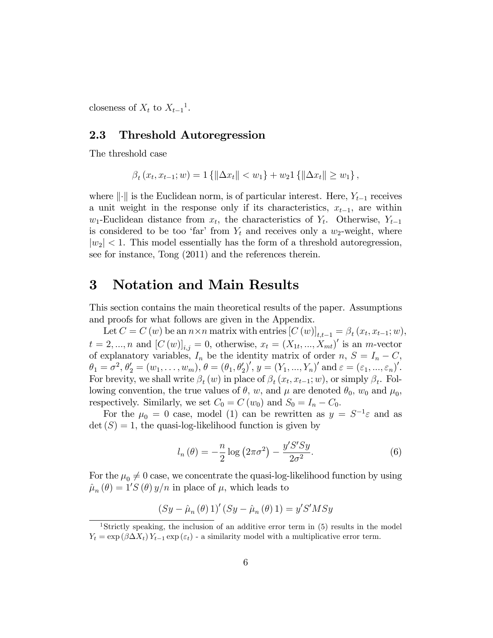closeness of  $X_t$  to  $X_{t-1}$ <sup>1</sup>.

#### 2.3 Threshold Autoregression

The threshold case

$$
\beta_t(x_t, x_{t-1}; w) = 1\left\{ \|\Delta x_t\| < w_1 \right\} + w_2 1\left\{ \|\Delta x_t\| \geq w_1 \right\},\
$$

where  $\|\cdot\|$  is the Euclidean norm, is of particular interest. Here,  $Y_{t-1}$  receives a unit weight in the response only if its characteristics,  $x_{t-1}$ , are within  $w_1$ -Euclidean distance from  $x_t$ , the characteristics of  $Y_t$ . Otherwise,  $Y_{t-1}$ is considered to be too 'far' from  $Y_t$  and receives only a  $w_2$ -weight, where  $|w_2|$  < 1. This model essentially has the form of a threshold autoregression, see for instance, Tong (2011) and the references therein.

### 3 Notation and Main Results

This section contains the main theoretical results of the paper. Assumptions and proofs for what follows are given in the Appendix.

Let  $C = C(w)$  be an  $n \times n$  matrix with entries  $[C(w)]_{t,t-1} = \beta_t(x_t, x_{t-1}; w)$ ,  $t = 2, ..., n$  and  $[C(w)]_{i,j} = 0$ , otherwise,  $x_t = (X_{1t}, ..., X_{mt})'$  is an m-vector of explanatory variables,  $I_n$  be the identity matrix of order n,  $S = I_n - C$ ,  $\theta_1 = \sigma^2, \theta'_2 = (w_1, \ldots, w_m), \theta = (\theta_1, \theta'_2)', y = (Y_1, \ldots, Y_n)' \text{ and } \varepsilon = (\varepsilon_1, \ldots, \varepsilon_n)'$ . For brevity, we shall write  $\beta_t(w)$  in place of  $\beta_t(x_t, x_{t-1}; w)$ , or simply  $\beta_t$ . Following convention, the true values of  $\theta$ , w, and  $\mu$  are denoted  $\theta_0$ ,  $w_0$  and  $\mu_0$ , respectively. Similarly, we set  $C_0 = C(w_0)$  and  $S_0 = I_n - C_0$ .

For the  $\mu_0 = 0$  case, model (1) can be rewritten as  $y = S^{-1} \varepsilon$  and as  $\det(S) = 1$ , the quasi-log-likelihood function is given by

$$
l_n(\theta) = -\frac{n}{2}\log\left(2\pi\sigma^2\right) - \frac{y'S'Sy}{2\sigma^2}.\tag{6}
$$

For the  $\mu_0 \neq 0$  case, we concentrate the quasi-log-likelihood function by using  $\hat{\mu}_n(\theta) = 1'S(\theta) y/n$  in place of  $\mu$ , which leads to

$$
(Sy - \hat{\mu}_n(\theta) 1)'(Sy - \hat{\mu}_n(\theta) 1) = y'S'MSy
$$

<sup>&</sup>lt;sup>1</sup>Strictly speaking, the inclusion of an additive error term in  $(5)$  results in the model  $Y_t = \exp(\beta \Delta X_t) Y_{t-1} \exp(\varepsilon_t)$  - a similarity model with a multiplicative error term.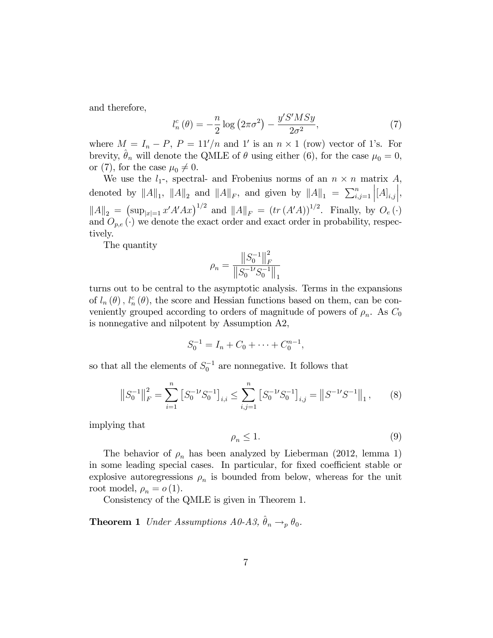and therefore,

$$
l_n^c(\theta) = -\frac{n}{2}\log\left(2\pi\sigma^2\right) - \frac{y'S'MSy}{2\sigma^2},\tag{7}
$$

where  $M = I_n - P$ ,  $P = 11'/n$  and 1' is an  $n \times 1$  (row) vector of 1's. For brevity,  $\hat{\theta}_n$  will denote the QMLE of  $\theta$  using either (6), for the case  $\mu_0 = 0$ , or (7), for the case  $\mu_0 \neq 0$ .

We use the  $l_1$ -, spectral- and Frobenius norms of an  $n \times n$  matrix  $A$ , denoted by  $||A||_1$ ,  $||A||_2$  and  $||A||_F$ , and given by  $||A||_1 = \sum_{i,j=1}^n$  $\left[ [A]_{i,j} \right]$  $\Big|,$  $||A||_2 = (\sup_{|x|=1} x' A' A x)^{1/2}$  and  $||A||_F = (tr (A'A))^{1/2}$ . Finally, by  $O_e(\cdot)$ and  $O_{p,e}(\cdot)$  we denote the exact order and exact order in probability, respectively.

The quantity

$$
\rho_n = \frac{\left\|S_0^{-1}\right\|_F^2}{\left\|S_0^{-1}/S_0^{-1}\right\|_1}
$$

turns out to be central to the asymptotic analysis. Terms in the expansions of  $l_n(\theta)$ ,  $l_n^c(\theta)$ , the score and Hessian functions based on them, can be conveniently grouped according to orders of magnitude of powers of  $\rho_n$ . As  $C_0$ is nonnegative and nilpotent by Assumption A2,

$$
S_0^{-1} = I_n + C_0 + \dots + C_0^{n-1},
$$

so that all the elements of  $S_0^{-1}$  are nonnegative. It follows that

$$
\left\|S_0^{-1}\right\|_F^2 = \sum_{i=1}^n \left[S_0^{-1}S_0^{-1}\right]_{i,i} \le \sum_{i,j=1}^n \left[S_0^{-1}S_0^{-1}\right]_{i,j} = \left\|S^{-1}S^{-1}\right\|_1,\tag{8}
$$

implying that

$$
\rho_n \le 1. \tag{9}
$$

The behavior of  $\rho_n$  has been analyzed by Lieberman (2012, lemma 1) in some leading special cases. In particular, for fixed coefficient stable or explosive autoregressions  $\rho_n$  is bounded from below, whereas for the unit root model,  $\rho_n = o(1)$ .

Consistency of the QMLE is given in Theorem 1.

**Theorem 1** Under Assumptions  $A_0A_3$ ,  $\hat{\theta}_n \rightarrow_p \theta_0$ .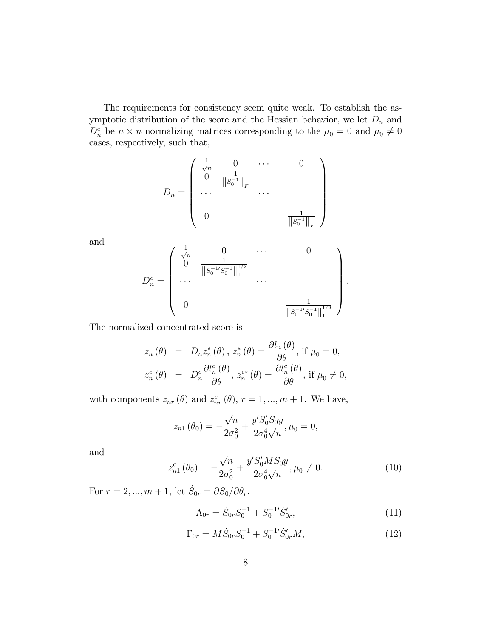The requirements for consistency seem quite weak. To establish the asymptotic distribution of the score and the Hessian behavior, we let  $D_n$  and  $D_n^c$  be  $n \times n$  normalizing matrices corresponding to the  $\mu_0 = 0$  and  $\mu_0 \neq 0$ cases, respectively, such that,

$$
D_n = \begin{pmatrix} \frac{1}{\sqrt{n}} & 0 & \cdots & 0 \\ 0 & \frac{1}{\|S_0^{-1}\|_F} & & \\ \cdots & & \cdots & \\ 0 & & & \frac{1}{\|S_0^{-1}\|_F} \end{pmatrix}
$$

and

$$
D_n^c = \begin{pmatrix} \frac{1}{\sqrt{n}} & 0 & \cdots & 0 \\ 0 & \frac{1}{\left\|S_0^{-1}S_0^{-1}\right\|_1^{1/2}} & & \\ \cdots & & \cdots & \\ 0 & & & \frac{1}{\left\|S_0^{-1}S_0^{-1}\right\|_1^{1/2}} \end{pmatrix}.
$$

The normalized concentrated score is

$$
z_n(\theta) = D_n z_n^*(\theta), z_n^*(\theta) = \frac{\partial l_n(\theta)}{\partial \theta}, \text{ if } \mu_0 = 0,
$$
  

$$
z_n^c(\theta) = D_n^c \frac{\partial l_n^c(\theta)}{\partial \theta}, z_n^{c*}(\theta) = \frac{\partial l_n^c(\theta)}{\partial \theta}, \text{ if } \mu_0 \neq 0,
$$

with components  $z_{nr}(\theta)$  and  $z_{nr}^c(\theta)$ ,  $r = 1, ..., m + 1$ . We have,

$$
z_{n1}(\theta_0) = -\frac{\sqrt{n}}{2\sigma_0^2} + \frac{y'S_0'S_0y}{2\sigma_0^4\sqrt{n}}, \mu_0 = 0,
$$

and

$$
z_{n1}^c(\theta_0) = -\frac{\sqrt{n}}{2\sigma_0^2} + \frac{y'S_0'MS_0y}{2\sigma_0^4\sqrt{n}}, \mu_0 \neq 0.
$$
 (10)

For  $r = 2, ..., m + 1$ , let  $\dot{S}_{0r} = \partial S_0 / \partial \theta_r$ ,

$$
\Lambda_{0r} = \dot{S}_{0r} S_0^{-1} + S_0^{-1} \dot{S}_{0r}' ,\qquad (11)
$$

$$
\Gamma_{0r} = M\dot{S}_{0r}S_0^{-1} + S_0^{-1}\dot{S}_{0r}'M,\tag{12}
$$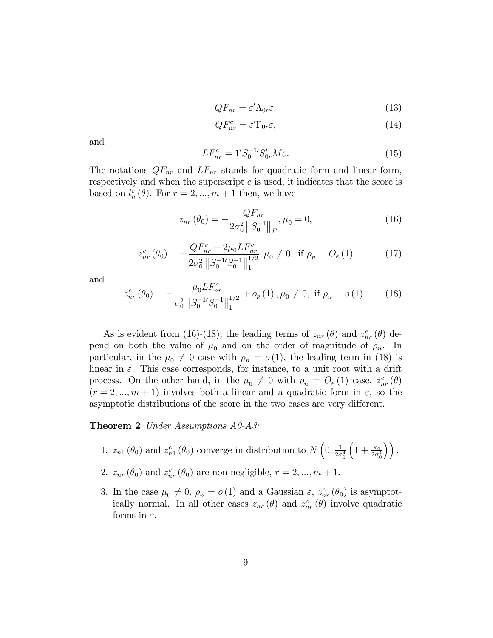$$
QF_{nr} = \varepsilon' \Lambda_{0r} \varepsilon,\tag{13}
$$

$$
QF_{nr}^c = \varepsilon' \Gamma_{0r} \varepsilon,\tag{14}
$$

and

$$
LF_{nr}^{c} = 1'S_{0}^{-1}'S_{0r}^{t}M\varepsilon.
$$
 (15)

The notations  $QF_{nr}$  and  $LF_{nr}$  stands for quadratic form and linear form, respectively and when the superscript  $c$  is used, it indicates that the score is based on  $l_n^c(\theta)$ . For  $r = 2, ..., m + 1$  then, we have

$$
z_{nr}(\theta_0) = -\frac{QF_{nr}}{2\sigma_0^2 \|S_0^{-1}\|_F}, \mu_0 = 0,
$$
\n(16)

$$
z_{nr}^{c}(\theta_{0}) = -\frac{QF_{nr}^{c} + 2\mu_{0}LF_{nr}^{c}}{2\sigma_{0}^{2} \|S_{0}^{-1}S_{0}^{-1}\|_{1}^{1/2}}, \mu_{0} \neq 0, \text{ if } \rho_{n} = O_{e}(1)
$$
 (17)

and

$$
z_{nr}^{c}(\theta_{0}) = -\frac{\mu_{0}LF_{nr}^{c}}{\sigma_{0}^{2}||S_{0}^{-1}S_{0}^{-1}||_{1}^{1/2}} + o_{p}(1), \mu_{0} \neq 0, \text{ if } \rho_{n} = o(1). \tag{18}
$$

As is evident from (16)-(18), the leading terms of  $z_{nr}(\theta)$  and  $z_{nr}^c(\theta)$  depend on both the value of  $\mu_0$  and on the order of magnitude of  $\rho_n$ . In particular, in the  $\mu_0 \neq 0$  case with  $\rho_n = o(1)$ , the leading term in (18) is linear in  $\varepsilon$ . This case corresponds, for instance, to a unit root with a drift process. On the other hand, in the  $\mu_0 \neq 0$  with  $\rho_n = O_e (1)$  case,  $z_{nr}^c (\theta)$  $(r = 2, ..., m + 1)$  involves both a linear and a quadratic form in  $\varepsilon$ , so the asymptotic distributions of the score in the two cases are very different.

#### Theorem 2 Under Assumptions A0-A3:

- 1.  $z_{n1}(\theta_0)$  and  $z_{n1}^c(\theta_0)$  converge in distribution to  $N\left(0, \frac{1}{2\sigma}\right)$  $\overline{2\sigma_0^4}$  $\left(1+\frac{\kappa_4}{2\sigma_0^4}\right)\right).$
- 2.  $z_{nr}(\theta_0)$  and  $z_{nr}^c(\theta_0)$  are non-negligible,  $r = 2, ..., m + 1$ .
- 3. In the case  $\mu_0 \neq 0$ ,  $\rho_n = o(1)$  and a Gaussian  $\varepsilon$ ,  $z_{nr}^c(\theta_0)$  is asymptotically normal. In all other cases  $z_{nr}(\theta)$  and  $z_{nr}^c(\theta)$  involve quadratic forms in  $\varepsilon$ .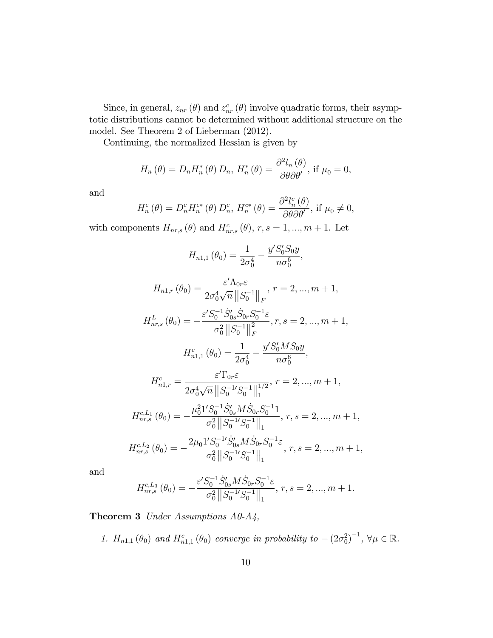Since, in general,  $z_{nr}(\theta)$  and  $z_{nr}^c(\theta)$  involve quadratic forms, their asymptotic distributions cannot be determined without additional structure on the model. See Theorem 2 of Lieberman (2012).

Continuing, the normalized Hessian is given by

$$
H_n(\theta) = D_n H_n^*(\theta) D_n, H_n^*(\theta) = \frac{\partial^2 l_n(\theta)}{\partial \theta \partial \theta'}, \text{ if } \mu_0 = 0,
$$

and

$$
H_n^c(\theta) = D_n^c H_n^{c*}(\theta) D_n^c, H_n^{c*}(\theta) = \frac{\partial^2 l_n^c(\theta)}{\partial \theta \partial \theta'}, \text{ if } \mu_0 \neq 0,
$$

with components  $H_{nr,s}(\theta)$  and  $H_{nr,s}^c(\theta)$ ,  $r, s = 1, ..., m + 1$ . Let

$$
H_{n1,1}(\theta_0) = \frac{1}{2\sigma_0^4} - \frac{y'S_0'S_0y}{n\sigma_0^6},
$$

$$
H_{n1,r}(\theta_0) = \frac{\varepsilon' \Lambda_{0r} \varepsilon}{2\sigma_0^4 \sqrt{n} ||S_0^{-1}||_F}, r = 2, ..., m + 1,
$$

$$
H^L_{nr,s}\left(\theta_0\right) = -\frac{\varepsilon' S_0^{-1} \dot{S}_{0s}' \dot{S}_{0r} S_0^{-1} \varepsilon}{\sigma_0^2 \left\|S_0^{-1}\right\|_F^2}, r, s = 2, ..., m + 1,
$$

$$
H_{n1,1}^c(\theta_0) = \frac{1}{2\sigma_0^4} - \frac{y'S_0'MS_0y}{n\sigma_0^6},
$$

$$
H_{n1,r}^c = \frac{\varepsilon' \Gamma_{0r} \varepsilon}{2\sigma_0^4 \sqrt{n} \|S_0^{-1} S_0^{-1}\|_1^{1/2}}, \ r = 2, ..., m + 1,
$$

$$
H_{nr,s}^{c,L_1}(\theta_0) = -\frac{\mu_0^2 1' S_0^{-1} \dot{S}_{0s}' M \dot{S}_{0r} S_0^{-1} 1}{\sigma_0^2 \|S_0^{-1} S_0^{-1}\|_1}, \ r, s = 2, ..., m+1,
$$

$$
H_{nr,s}^{c,L_{2}}\left(\theta_{0}\right)=-\frac{2\mu_{0}1'S_{0}^{-1}S_{0s}^{\prime}M\dot{S}_{0r}S_{0}^{-1}\varepsilon}{\sigma_{0}^{2}\left\Vert S_{0}^{-1}S_{0}^{-1}\right\Vert _{1}},\,r,s=2,...,m+1,
$$

and

$$
H_{nr,s}^{c,L_3}(\theta_0) = -\frac{\varepsilon' S_0^{-1} \dot{S}_{0s}' M \dot{S}_{0r} S_0^{-1} \varepsilon}{\sigma_0^2 \|S_0^{-1} S_0^{-1}\|_1}, r, s = 2, ..., m + 1.
$$

Theorem 3 Under Assumptions A0-A4,

1.  $H_{n1,1}(\theta_0)$  and  $H_{n1,1}^c(\theta_0)$  converge in probability to  $-(2\sigma_0^2)^{-1}$ ,  $\forall \mu \in \mathbb{R}$ .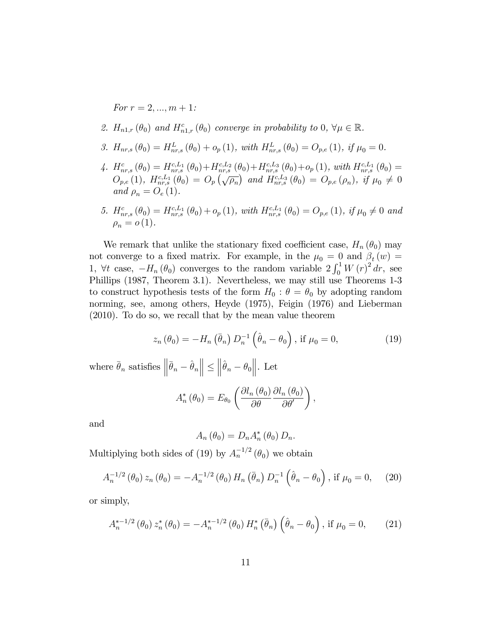For  $r = 2, ..., m + 1$ :

- 2.  $H_{n1,r}(\theta_0)$  and  $H_{n1,r}^c(\theta_0)$  converge in probability to  $0, \forall \mu \in \mathbb{R}$ .
- 3.  $H_{nr,s}(\theta_0) = H_{nr,s}^L(\theta_0) + o_p(1)$ , with  $H_{nr,s}^L(\theta_0) = O_{p,e}(1)$ , if  $\mu_0 = 0$ .
- 4.  $H_{nr,s}^c(\theta_0) = H_{nr,s}^{c,L_1}(\theta_0) + H_{nr,s}^{c,L_2}(\theta_0) + H_{nr,s}^{c,L_3}(\theta_0) + o_p(1)$ , with  $H_{nr,s}^{c,L_1}(\theta_0) =$  $O_{p,e}(1)$ ,  $H_{nr,s}^{c,L_1}(\theta_0) = O_p(\sqrt{\rho_n})$  and  $H_{nr,s}^{c,L_3}(\theta_0) = O_{p,e}(\rho_n)$ , if  $\mu_0 \neq 0$ and  $\rho_n = O_e(1)$ .
- 5.  $H^c_{nr,s}(\theta_0) = H^{c,L_1}_{nr,s}(\theta_0) + o_p(1)$ , with  $H^{c,L_1}_{nr,s}(\theta_0) = O_{p,e}(1)$ , if  $\mu_0 \neq 0$  and  $\rho_n = o(1)$ .

We remark that unlike the stationary fixed coefficient case,  $H_n (\theta_0)$  may not converge to a fixed matrix. For example, in the  $\mu_0 = 0$  and  $\beta_t(w) =$ 1,  $\forall t$  case,  $-H_n(\theta_0)$  converges to the random variable  $2 \int_0^1 W(r)^2 dr$ , see Phillips (1987, Theorem 3.1). Nevertheless, we may still use Theorems 1-3 to construct hypothesis tests of the form  $H_0$ :  $\theta = \theta_0$  by adopting random norming, see, among others, Heyde (1975), Feigin (1976) and Lieberman (2010). To do so, we recall that by the mean value theorem

$$
z_n(\theta_0) = -H_n(\bar{\theta}_n) D_n^{-1}(\hat{\theta}_n - \theta_0), \text{ if } \mu_0 = 0,
$$
\n(19)

where  $\bar{\theta}_n$  satisfies  $\left\|\bar{\theta}_n - \hat{\theta}_n\right\| \leq$  $\left\| \hat{\theta}_n - \theta_0 \right\|.$  Let

$$
A_n^*\left(\theta_0\right) = E_{\theta_0}\left(\frac{\partial l_n\left(\theta_0\right)}{\partial \theta} \frac{\partial l_n\left(\theta_0\right)}{\partial \theta'}\right),\,
$$

and

$$
A_n(\theta_0) = D_n A_n^* (\theta_0) D_n.
$$

Multiplying both sides of (19) by  $A_n^{-1/2}(\theta_0)$  we obtain

$$
A_n^{-1/2}(\theta_0) z_n(\theta_0) = -A_n^{-1/2}(\theta_0) H_n(\bar{\theta}_n) D_n^{-1}(\hat{\theta}_n - \theta_0), \text{ if } \mu_0 = 0,
$$
 (20)

or simply,

$$
A_n^{*-1/2}(\theta_0) z_n^*(\theta_0) = -A_n^{*-1/2}(\theta_0) H_n^*(\bar{\theta}_n) (\hat{\theta}_n - \theta_0), \text{ if } \mu_0 = 0,
$$
 (21)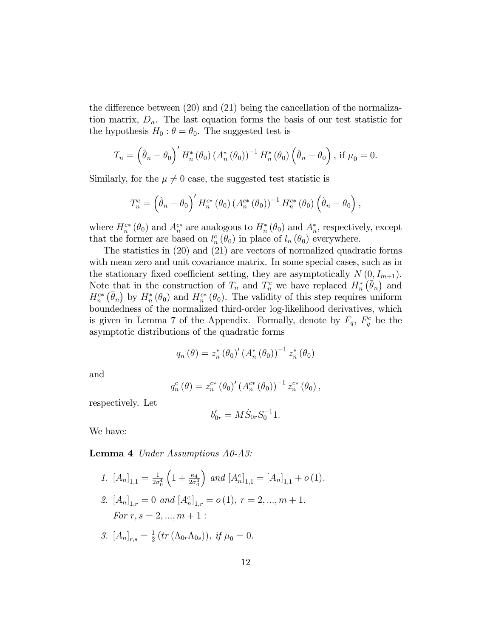the difference between  $(20)$  and  $(21)$  being the cancellation of the normalization matrix,  $D_n$ . The last equation forms the basis of our test statistic for the hypothesis  $H_0$ :  $\theta = \theta_0$ . The suggested test is

$$
T_n = \left(\hat{\theta}_n - \theta_0\right)' H_n^* \left(\theta_0\right) \left(A_n^* \left(\theta_0\right)\right)^{-1} H_n^* \left(\theta_0\right) \left(\hat{\theta}_n - \theta_0\right), \text{ if } \mu_0 = 0.
$$

Similarly, for the  $\mu \neq 0$  case, the suggested test statistic is

$$
T_n^c = \left(\hat{\theta}_n - \theta_0\right)' H_n^{c*} \left(\theta_0\right) \left(A_n^{c*} \left(\theta_0\right)\right)^{-1} H_n^{c*} \left(\theta_0\right) \left(\hat{\theta}_n - \theta_0\right),
$$

where  $H_n^{c*}(\theta_0)$  and  $A_n^{c*}$  are analogous to  $H_n^{*}(\theta_0)$  and  $A_n^{*}$ , respectively, except that the former are based on  $l_n^c(\theta_0)$  in place of  $l_n(\theta_0)$  everywhere.

The statistics in (20) and (21) are vectors of normalized quadratic forms with mean zero and unit covariance matrix. In some special cases, such as in the stationary fixed coefficient setting, they are asymptotically  $N(0, I_{m+1})$ . Note that in the construction of  $T_n$  and  $T_n^c$  we have replaced  $H_n^*(\bar{\theta}_n)$  and  $H_n^{c*}(\bar{\theta}_n)$  by  $H_n^{*}(\theta_0)$  and  $H_n^{c*}(\theta_0)$ . The validity of this step requires uniform boundedness of the normalized third-order log-likelihood derivatives, which is given in Lemma 7 of the Appendix. Formally, denote by  $F_q$ ,  $F_q^c$  be the asymptotic distributions of the quadratic forms

$$
q_{n}(\theta) = z_{n}^{*}(\theta_{0})' (A_{n}^{*}(\theta_{0}))^{-1} z_{n}^{*}(\theta_{0})
$$

and

$$
q_n^c(\theta) = z_n^{c*} (\theta_0)' (A_n^{c*} (\theta_0))^{-1} z_n^{c*} (\theta_0),
$$

respectively. Let

$$
b'_{0r} = M\dot{S}_{0r}S_0^{-1}1.
$$

We have:

Lemma 4 Under Assumptions A0-A3:

1. 
$$
[A_n]_{1,1} = \frac{1}{2\sigma_0^4} \left( 1 + \frac{\kappa_4}{2\sigma_0^4} \right)
$$
 and  $[A_n^c]_{1,1} = [A_n]_{1,1} + o(1)$ .  
\n2.  $[A_n]_{1,r} = 0$  and  $[A_n^c]_{1,r} = o(1), r = 2, ..., m + 1$ .  
\nFor  $r, s = 2, ..., m + 1$ :  
\n3.  $[A_n]_{r,s} = \frac{1}{2} \left( tr \left( \Lambda_{0r} \Lambda_{0s} \right) \right), \text{ if } \mu_0 = 0$ .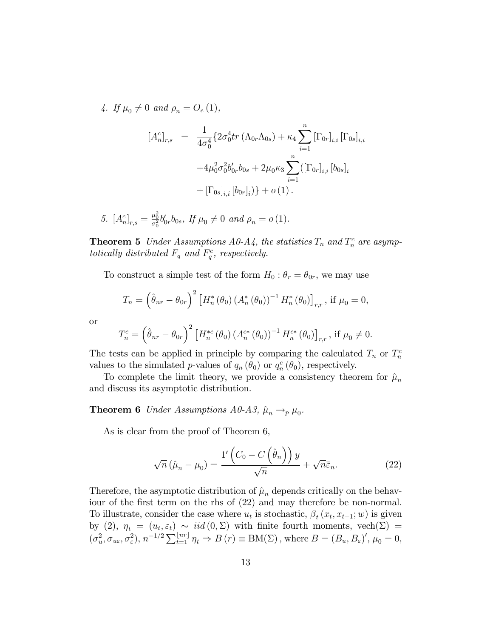4. If  $\mu_0 \neq 0$  and  $\rho_n = O_e (1)$ ,

$$
[A_n^c]_{r,s} = \frac{1}{4\sigma_0^4} \{ 2\sigma_0^4 tr (\Lambda_{0r}\Lambda_{0s}) + \kappa_4 \sum_{i=1}^n [\Gamma_{0r}]_{i,i} [\Gamma_{0s}]_{i,i} + 4\mu_0^2 \sigma_0^2 b'_{0r} b_{0s} + 2\mu_0 \kappa_3 \sum_{i=1}^n ([\Gamma_{0r}]_{i,i} [b_{0s}]_i + [\Gamma_{0s}]_{i,i} [b_{0r}]_i) \} + o(1).
$$

5. 
$$
[A_n^c]_{r,s} = \frac{\mu_0^2}{\sigma_0^2} b_{0r}' b_{0s}
$$
, *If*  $\mu_0 \neq 0$  *and*  $\rho_n = o(1)$ .

**Theorem 5** Under Assumptions A0-A4, the statistics  $T_n$  and  $T_n^c$  are asymptotically distributed  $F_q$  and  $F_q^c$ , respectively.

To construct a simple test of the form  $H_0$ :  $\theta_r = \theta_{0r}$ , we may use

$$
T_n = \left(\hat{\theta}_{nr} - \theta_{0r}\right)^2 \left[H_n^*(\theta_0) \left(A_n^*(\theta_0)\right)^{-1} H_n^*(\theta_0)\right]_{r,r}, \text{ if } \mu_0 = 0,
$$

or

$$
T_n^c = \left(\hat{\theta}_{nr} - \theta_{0r}\right)^2 \left[H_n^{*c}(\theta_0) \left(A_n^{c*}(\theta_0)\right)^{-1} H_n^{c*}(\theta_0)\right]_{r,r}, \text{ if } \mu_0 \neq 0.
$$

The tests can be applied in principle by comparing the calculated  $T_n$  or  $T_n^c$ values to the simulated p-values of  $q_n(\theta_0)$  or  $q_n^c(\theta_0)$ , respectively.

To complete the limit theory, we provide a consistency theorem for  $\hat{\mu}_n$ and discuss its asymptotic distribution.

**Theorem 6** Under Assumptions A0-A3,  $\hat{\mu}_n \rightarrow_p \mu_0$ .

As is clear from the proof of Theorem 6,

$$
\sqrt{n} \left( \hat{\mu}_n - \mu_0 \right) = \frac{1' \left( C_0 - C \left( \hat{\theta}_n \right) \right) y}{\sqrt{n}} + \sqrt{n} \bar{\varepsilon}_n.
$$
 (22)

Therefore, the asymptotic distribution of  $\hat{\mu}_n$  depends critically on the behaviour of the first term on the rhs of  $(22)$  and may therefore be non-normal. To illustrate, consider the case where  $u_t$  is stochastic,  $\beta_t(x_t, x_{t-1}; w)$  is given by (2),  $\eta_t = (u_t, \varepsilon_t) \sim \text{iid}(0, \Sigma)$  with finite fourth moments,  $\text{vech}(\Sigma) =$  $(\sigma_u^2, \sigma_{u\varepsilon}, \sigma_{\varepsilon}^2), n^{-1/2} \sum_{t=1}^{\lfloor nr \rfloor} \eta_t \Rightarrow B(r) \equiv BM(\Sigma)$ , where  $B = (B_u, B_{\varepsilon})'$ ,  $\mu_0 = 0$ ,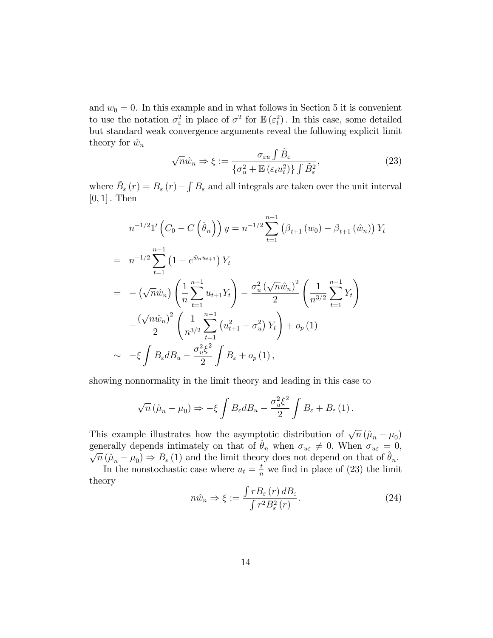and  $w_0 = 0$ . In this example and in what follows in Section 5 it is convenient to use the notation  $\sigma_{\varepsilon}^2$  in place of  $\sigma^2$  for  $\mathbb{E}(\varepsilon_t^2)$ . In this case, some detailed but standard weak convergence arguments reveal the following explicit limit theory for  $\hat{w}_n$ 

$$
\sqrt{n}\hat{w}_n \Rightarrow \xi := \frac{\sigma_{\varepsilon u} \int \tilde{B}_{\varepsilon}}{\{\sigma_u^2 + \mathbb{E}\left(\varepsilon_t u_t^2\right)\} \int \tilde{B}_{\varepsilon}^2},\tag{23}
$$

where  $\tilde{B}_{\varepsilon}(r) = B_{\varepsilon}(r) - \int B_{\varepsilon}$  and all integrals are taken over the unit interval  $[0, 1]$ . Then

$$
n^{-1/2} 1' \left( C_0 - C \left( \hat{\theta}_n \right) \right) y = n^{-1/2} \sum_{t=1}^{n-1} \left( \beta_{t+1} (w_0) - \beta_{t+1} (\hat{w}_n) \right) Y_t
$$
  
\n
$$
= n^{-1/2} \sum_{t=1}^{n-1} \left( 1 - e^{\hat{w}_n u_{t+1}} \right) Y_t
$$
  
\n
$$
= - \left( \sqrt{n} \hat{w}_n \right) \left( \frac{1}{n} \sum_{t=1}^{n-1} u_{t+1} Y_t \right) - \frac{\sigma_u^2 \left( \sqrt{n} \hat{w}_n \right)^2}{2} \left( \frac{1}{n^{3/2}} \sum_{t=1}^{n-1} Y_t \right)
$$
  
\n
$$
- \frac{\left( \sqrt{n} \hat{w}_n \right)^2}{2} \left( \frac{1}{n^{3/2}} \sum_{t=1}^{n-1} \left( u_{t+1}^2 - \sigma_u^2 \right) Y_t \right) + o_p(1)
$$
  
\n
$$
\sim -\xi \int B_{\varepsilon} d B_u - \frac{\sigma_u^2 \xi^2}{2} \int B_{\varepsilon} + o_p(1),
$$

showing nonnormality in the limit theory and leading in this case to

$$
\sqrt{n} \left( \hat{\mu}_n - \mu_0 \right) \Rightarrow -\xi \int B_{\varepsilon} dB_u - \frac{\sigma_u^2 \xi^2}{2} \int B_{\varepsilon} + B_{\varepsilon} (1) \, .
$$

This example illustrates how the asymptotic distribution of  $\sqrt{n} (\hat{\mu}_n - \mu_0)$ generally depends intimately on that of  $\hat{\theta}_n$  when  $\sigma_{u\epsilon} \neq 0$ . When  $\sigma_{u\epsilon} = 0$ ,  $\overline{n}(\hat{\mu}_n - \mu_0) \Rightarrow B_{\varepsilon}(1)$  and the limit theory does not depend on that of  $\hat{\theta}_n$ .

In the nonstochastic case where  $u_t = \frac{t}{n}$  we find in place of (23) the limit theory

$$
n\hat{w}_n \Rightarrow \xi := \frac{\int r B_\varepsilon(r) \, d\mathcal{B}_\varepsilon}{\int r^2 B_\varepsilon^2(r)}.\tag{24}
$$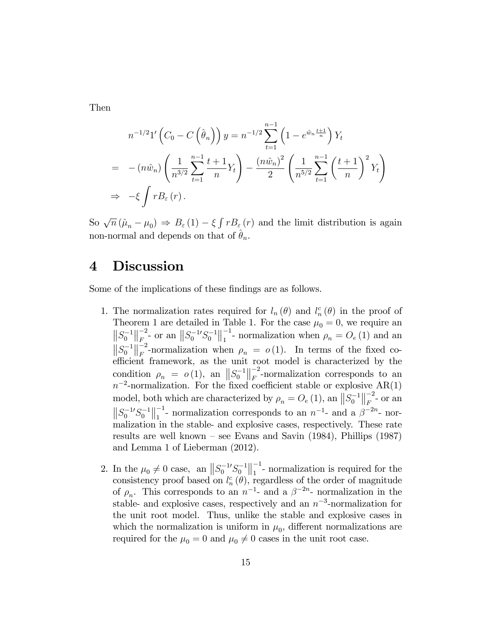Then

$$
n^{-1/2}1'\left(C_0 - C\left(\hat{\theta}_n\right)\right)y = n^{-1/2}\sum_{t=1}^{n-1} \left(1 - e^{\hat{w}_n \frac{t+1}{n}}\right)Y_t
$$
  
=  $-(n\hat{w}_n)\left(\frac{1}{n^{3/2}}\sum_{t=1}^{n-1} \frac{t+1}{n}Y_t\right) - \frac{(n\hat{w}_n)^2}{2}\left(\frac{1}{n^{5/2}}\sum_{t=1}^{n-1} \left(\frac{t+1}{n}\right)^2 Y_t\right)$   
 $\Rightarrow -\xi \int r B_{\varepsilon}(r).$ 

So  $\sqrt{n} (\hat{\mu}_n - \mu_0) \Rightarrow B_{\varepsilon}(1) - \xi \int r B_{\varepsilon}(r)$  and the limit distribution is again non-normal and depends on that of  $\hat{\theta}_n$ .

### 4 Discussion

Some of the implications of these findings are as follows.

- 1. The normalization rates required for  $l_n(\theta)$  and  $l_n^c(\theta)$  in the proof of Theorem 1 are detailed in Table 1. For the case  $\mu_0 = 0$ , we require an  $||S_0^{-1}||_F^{-2}$  $\int_{F_{\circ}}^{-2}$ - or an  $||S_0^{-1}S_0^{-1}||_1^{-1}$  $\frac{1}{1}$ - normalization when  $\rho_n = O_e(1)$  and an  $\left\|S_0^{-1}\right\|_F^{-2}$  $\mu_F$ -normalization when  $\rho_n = o(1)$ . In terms of the fixed coefficient framework, as the unit root model is characterized by the condition  $\rho_n = o(1)$ , an  $||S_0^{-1}||_F^{-2}$  $\frac{-2}{F}$ -normalization corresponds to an  $n^{-2}$ -normalization. For the fixed coefficient stable or explosive AR(1) model, both which are characterized by  $\rho_n = O_e(1)$ , an  $||S_0^{-1}||_F^{-2}$  $\frac{1}{F}$ - or an  $||S_0^{-1}S_0^{-1}||_1^{-1}$ <sup>-1</sup>- normalization corresponds to an  $n^{-1}$ - and a  $\beta^{-2n}$ - normalization in the stable- and explosive cases, respectively. These rate results are well known  $-$  see Evans and Savin (1984), Phillips (1987) and Lemma 1 of Lieberman (2012).
- 2. In the  $\mu_0 \neq 0$  case, an  $||S_0^{-1}S_0^{-1}||_1^{-1}$  $\frac{1}{1}$ - normalization is required for the consistency proof based on  $l_n^c(\theta)$ , regardless of the order of magnitude of  $\rho_n$ . This corresponds to an  $n^{-1}$ - and a  $\beta^{-2n}$ - normalization in the stable- and explosive cases, respectively and an  $n^{-3}$ -normalization for the unit root model. Thus, unlike the stable and explosive cases in which the normalization is uniform in  $\mu_0$ , different normalizations are required for the  $\mu_0 = 0$  and  $\mu_0 \neq 0$  cases in the unit root case.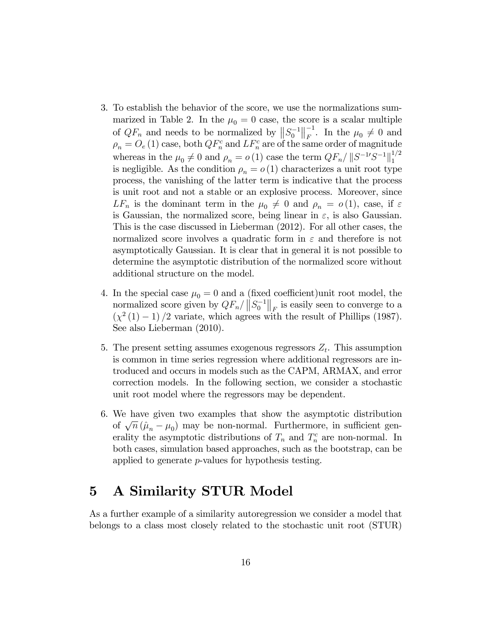- 3. To establish the behavior of the score, we use the normalizations summarized in Table 2. In the  $\mu_0 = 0$  case, the score is a scalar multiple of  $QF_n$  and needs to be normalized by  $||S_0^{-1}||_F^{-1}$  $\mu_0^{\text{-1}}$ . In the  $\mu_0 \neq 0$  and  $\rho_n = O_e(1)$  case, both  $QF_n^c$  and  $LF_n^c$  are of the same order of magnitude whereas in the  $\mu_0 \neq 0$  and  $\rho_n = o(1)$  case the term  $QF_n / ||S^{-1}S^{-1}||_1^{1/2}$ 1 is negligible. As the condition  $\rho_n = o(1)$  characterizes a unit root type process, the vanishing of the latter term is indicative that the process is unit root and not a stable or an explosive process. Moreover, since  $LF_n$  is the dominant term in the  $\mu_0 \neq 0$  and  $\rho_n = o(1)$ , case, if  $\varepsilon$ is Gaussian, the normalized score, being linear in  $\varepsilon$ , is also Gaussian. This is the case discussed in Lieberman (2012). For all other cases, the normalized score involves a quadratic form in  $\varepsilon$  and therefore is not asymptotically Gaussian. It is clear that in general it is not possible to determine the asymptotic distribution of the normalized score without additional structure on the model.
- 4. In the special case  $\mu_0 = 0$  and a (fixed coefficient)unit root model, the normalized score given by  $QF_n / ||S_0^{-1}||_F$  is easily seen to converge to a  $(\chi^2(1)-1)/2$  variate, which agrees with the result of Phillips (1987). See also Lieberman (2010).
- 5. The present setting assumes exogenous regressors  $Z_t$ . This assumption is common in time series regression where additional regressors are introduced and occurs in models such as the CAPM, ARMAX, and error correction models. In the following section, we consider a stochastic unit root model where the regressors may be dependent.
- 6. We have given two examples that show the asymptotic distribution of  $\sqrt{n} (\hat{\mu}_n - \mu_0)$  may be non-normal. Furthermore, in sufficient generality the asymptotic distributions of  $T_n$  and  $T_n^c$  are non-normal. In both cases, simulation based approaches, such as the bootstrap, can be applied to generate p-values for hypothesis testing.

## 5 A Similarity STUR Model

As a further example of a similarity autoregression we consider a model that belongs to a class most closely related to the stochastic unit root (STUR)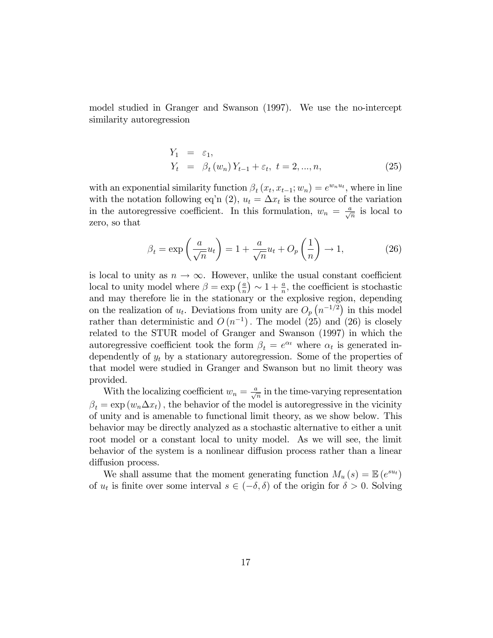model studied in Granger and Swanson (1997). We use the no-intercept similarity autoregression

$$
Y_1 = \varepsilon_1,
$$
  
\n
$$
Y_t = \beta_t (w_n) Y_{t-1} + \varepsilon_t, t = 2, ..., n,
$$
\n(25)

with an exponential similarity function  $\beta_t(x_t, x_{t-1}; w_n) = e^{w_n u_t}$ , where in line with the notation following eq'n (2),  $u_t = \Delta x_t$  is the source of the variation in the autoregressive coefficient. In this formulation,  $w_n = \frac{a}{\sqrt{n}}$  is local to zero, so that

$$
\beta_t = \exp\left(\frac{a}{\sqrt{n}}u_t\right) = 1 + \frac{a}{\sqrt{n}}u_t + O_p\left(\frac{1}{n}\right) \to 1,\tag{26}
$$

is local to unity as  $n \to \infty$ . However, unlike the usual constant coefficient local to unity model where  $\beta = \exp\left(\frac{a}{n}\right)$  $\frac{a}{n}$   $\big) \sim 1 + \frac{a}{n}$ , the coefficient is stochastic and may therefore lie in the stationary or the explosive region, depending on the realization of  $u_t$ . Deviations from unity are  $O_p(n^{-1/2})$  in this model rather than deterministic and  $O(n^{-1})$ . The model (25) and (26) is closely related to the STUR model of Granger and Swanson (1997) in which the autoregressive coefficient took the form  $\beta_t = e^{\alpha_t}$  where  $\alpha_t$  is generated independently of  $y_t$  by a stationary autoregression. Some of the properties of that model were studied in Granger and Swanson but no limit theory was provided.

With the localizing coefficient  $w_n = \frac{a}{\sqrt{n}}$  in the time-varying representation  $\beta_t = \exp(w_n \Delta x_t)$ , the behavior of the model is autoregressive in the vicinity of unity and is amenable to functional limit theory, as we show below. This behavior may be directly analyzed as a stochastic alternative to either a unit root model or a constant local to unity model. As we will see, the limit behavior of the system is a nonlinear diffusion process rather than a linear diffusion process.

We shall assume that the moment generating function  $M_u(s) = \mathbb{E}\left(e^{su_t}\right)$ of  $u_t$  is finite over some interval  $s \in (-\delta, \delta)$  of the origin for  $\delta > 0$ . Solving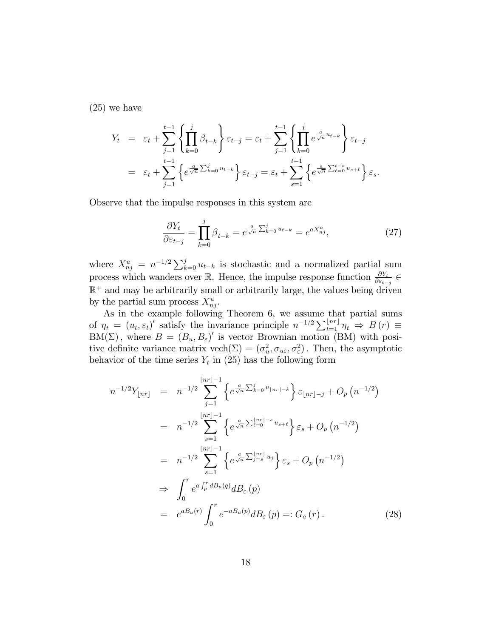(25) we have

$$
Y_t = \varepsilon_t + \sum_{j=1}^{t-1} \left\{ \prod_{k=0}^j \beta_{t-k} \right\} \varepsilon_{t-j} = \varepsilon_t + \sum_{j=1}^{t-1} \left\{ \prod_{k=0}^j e^{\frac{a}{\sqrt{n}} u_{t-k}} \right\} \varepsilon_{t-j}
$$
  

$$
= \varepsilon_t + \sum_{j=1}^{t-1} \left\{ e^{\frac{a}{\sqrt{n}} \sum_{k=0}^j u_{t-k}} \right\} \varepsilon_{t-j} = \varepsilon_t + \sum_{s=1}^{t-1} \left\{ e^{\frac{a}{\sqrt{n}} \sum_{\ell=0}^{t-s} u_{s+\ell}} \right\} \varepsilon_s.
$$

Observe that the impulse responses in this system are

$$
\frac{\partial Y_t}{\partial \varepsilon_{t-j}} = \prod_{k=0}^j \beta_{t-k} = e^{\frac{a}{\sqrt{n}} \sum_{k=0}^j u_{t-k}} = e^{a X_{nj}^u},\tag{27}
$$

where  $X_{nj}^u = n^{-1/2} \sum_{k=0}^j u_{t-k}$  is stochastic and a normalized partial sum process which wanders over  $\mathbb{R}$ . Hence, the impulse response function  $\frac{\partial Y_t}{\partial \varepsilon_{t-j}} \in$  $\mathbb{R}^+$  and may be arbitrarily small or arbitrarily large, the values being driven by the partial sum process  $X_{nj}^u$ .

As in the example following Theorem 6, we assume that partial sums of  $\eta_t = (u_t, \varepsilon_t)'$  satisfy the invariance principle  $n^{-1/2} \sum_{t=1}^{\lfloor nr \rfloor} \eta_t \Rightarrow B(r) \equiv$  $BM(\Sigma)$ , where  $B = (B_u, B_{\varepsilon})'$  is vector Brownian motion (BM) with positive definite variance matrix  $\text{vech}(\Sigma) = (\sigma_u^2, \sigma_{u\epsilon}, \sigma_{\epsilon}^2)$ . Then, the asymptotic behavior of the time series  $Y_t$  in (25) has the following form

$$
n^{-1/2}Y_{\lfloor nr \rfloor} = n^{-1/2} \sum_{j=1}^{\lfloor nr \rfloor - 1} \left\{ e^{\frac{a}{\sqrt{n}} \sum_{k=0}^{j} u_{\lfloor nr \rfloor - k}} \right\} \varepsilon_{\lfloor nr \rfloor - j} + O_p(n^{-1/2})
$$
  
\n
$$
= n^{-1/2} \sum_{s=1}^{\lfloor nr \rfloor - 1} \left\{ e^{\frac{a}{\sqrt{n}} \sum_{\ell=0}^{\lfloor nr \rfloor - s} u_{s+\ell}} \right\} \varepsilon_s + O_p(n^{-1/2})
$$
  
\n
$$
= n^{-1/2} \sum_{s=1}^{\lfloor nr \rfloor - 1} \left\{ e^{\frac{a}{\sqrt{n}} \sum_{j=s}^{\lfloor nr \rfloor} u_j} \right\} \varepsilon_s + O_p(n^{-1/2})
$$
  
\n
$$
\Rightarrow \int_0^r e^{a \int_p^r dB_u(q)} d B_\varepsilon(p)
$$
  
\n
$$
= e^{a B_u(r)} \int_0^r e^{-a B_u(p)} d B_\varepsilon(p) =: G_a(r).
$$
 (28)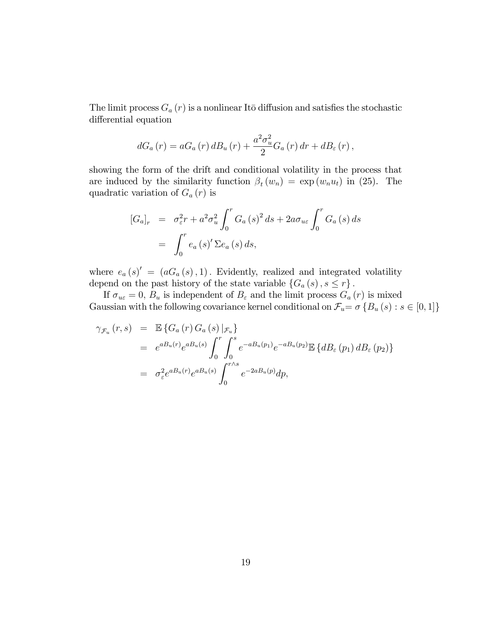The limit process  $G_a(r)$  is a nonlinear Itō diffusion and satisfies the stochastic differential equation

$$
dG_a(r) = aG_a(r) dB_u(r) + \frac{a^2 \sigma_u^2}{2} G_a(r) dr + dB_{\varepsilon}(r),
$$

showing the form of the drift and conditional volatility in the process that are induced by the similarity function  $\beta_t(w_n) = \exp(w_n u_t)$  in (25). The quadratic variation of  $G_a(r)$  is

$$
[G_a]_r = \sigma_\varepsilon^2 r + a^2 \sigma_u^2 \int_0^r G_a(s)^2 ds + 2a \sigma_{u\varepsilon} \int_0^r G_a(s) ds
$$
  
= 
$$
\int_0^r e_a(s)' \Sigma e_a(s) ds,
$$

where  $e_a(s)' = (aG_a(s), 1)$ . Evidently, realized and integrated volatility depend on the past history of the state variable  $\{G_a(s), s \leq r\}$ .

If  $\sigma_{u\epsilon} = 0$ ,  $B_u$  is independent of  $B_{\epsilon}$  and the limit process  $G_a(r)$  is mixed Gaussian with the following covariance kernel conditional on  $\mathcal{F}_u = \sigma \{B_u(s) : s \in [0, 1]\}$ 

$$
\gamma_{\mathcal{F}_u}(r,s) = \mathbb{E}\left\{G_a(r) G_a(s) |_{\mathcal{F}_u}\right\}
$$
  
\n
$$
= e^{a B_u(r)} e^{a B_u(s)} \int_0^r \int_0^s e^{-a B_u(p_1)} e^{-a B_u(p_2)} \mathbb{E}\left\{d B_{\varepsilon}(p_1) d B_{\varepsilon}(p_2)\right\}
$$
  
\n
$$
= \sigma_{\varepsilon}^2 e^{a B_u(r)} e^{a B_u(s)} \int_0^{r \wedge s} e^{-2a B_u(p)} dp,
$$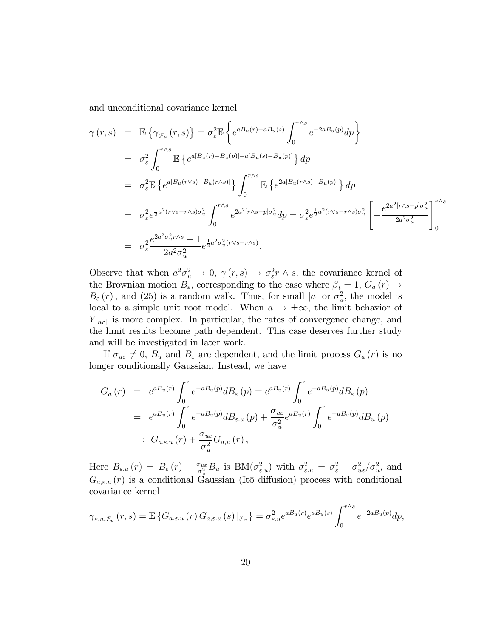and unconditional covariance kernel

$$
\gamma(r,s) = \mathbb{E}\left\{\gamma_{\mathcal{F}_u}(r,s)\right\} = \sigma_{\varepsilon}^2 \mathbb{E}\left\{e^{aB_u(r) + aB_u(s)} \int_0^{r\wedge s} e^{-2aB_u(p)} dp\right\}
$$
  
\n
$$
= \sigma_{\varepsilon}^2 \int_0^{r\wedge s} \mathbb{E}\left\{e^{a[B_u(r) - B_u(p)] + a[B_u(s) - B_u(p)]}\right\} dp
$$
  
\n
$$
= \sigma_{\varepsilon}^2 \mathbb{E}\left\{e^{a[B_u(r\vee s) - B_u(r\wedge s)]}\right\} \int_0^{r\wedge s} \mathbb{E}\left\{e^{2a[B_u(r\wedge s) - B_u(p)]}\right\} dp
$$
  
\n
$$
= \sigma_{\varepsilon}^2 e^{\frac{1}{2}a^2(r\vee s - r\wedge s)\sigma_u^2} \int_0^{r\wedge s} e^{2a^2[r\wedge s - p]\sigma_u^2} dp = \sigma_{\varepsilon}^2 e^{\frac{1}{2}a^2(r\vee s - r\wedge s)\sigma_u^2} \left[-\frac{e^{2a^2[r\wedge s - p]\sigma_u^2}}{2a^2\sigma_u^2}\right]_0^{r\wedge s}
$$
  
\n
$$
= \sigma_{\varepsilon}^2 \frac{e^{2a^2\sigma_u^2r\wedge s} - 1}{2a^2\sigma_u^2} e^{\frac{1}{2}a^2\sigma_u^2(r\vee s - r\wedge s)}.
$$

Observe that when  $a^2 \sigma_u^2 \to 0$ ,  $\gamma(r, s) \to \sigma_{\varepsilon}^2 r \wedge s$ , the covariance kernel of the Brownian motion  $B_{\varepsilon}$ , corresponding to the case where  $\beta_t = 1$ ,  $G_a(r) \rightarrow$  $B_{\varepsilon}(r)$ , and (25) is a random walk. Thus, for small |a| or  $\sigma_u^2$ , the model is local to a simple unit root model. When  $a \to \pm \infty$ , the limit behavior of  $Y_{\lfloor nr\rfloor}$  is more complex. In particular, the rates of convergence change, and the limit results become path dependent. This case deserves further study and will be investigated in later work.

If  $\sigma_{u\epsilon} \neq 0$ ,  $B_u$  and  $B_{\epsilon}$  are dependent, and the limit process  $G_a(r)$  is no longer conditionally Gaussian. Instead, we have

$$
G_a(r) = e^{aB_u(r)} \int_0^r e^{-aB_u(p)} dB_\varepsilon(p) = e^{aB_u(r)} \int_0^r e^{-aB_u(p)} dB_\varepsilon(p)
$$
  
=  $e^{aB_u(r)} \int_0^r e^{-aB_u(p)} dB_{\varepsilon,u}(p) + \frac{\sigma_{uc}}{\sigma_u^2} e^{aB_u(r)} \int_0^r e^{-aB_u(p)} dB_u(p)$   
=:  $G_{a,\varepsilon,u}(r) + \frac{\sigma_{uc}}{\sigma_u^2} G_{a,u}(r)$ ,

Here  $B_{\varepsilon,u}(r) = B_{\varepsilon}(r) - \frac{\sigma_{ue}}{\sigma_u^2}$  $\frac{\sigma_{ue}}{\sigma_u^2} B_u$  is  $BM(\sigma_{\varepsilon,u}^2)$  with  $\sigma_{\varepsilon,u}^2 = \sigma_{\varepsilon}^2 - \sigma_{ue}^2/\sigma_u^2$ , and  $G_{a,\varepsilon,u}(r)$  is a conditional Gaussian (Itō diffusion) process with conditional covariance kernel

$$
\gamma_{\varepsilon.u,\mathcal{F}_u}(r,s) = \mathbb{E}\left\{G_{a,\varepsilon.u}(r) \,G_{a,\varepsilon.u}(s)\,|_{\mathcal{F}_u}\right\} = \sigma_{\varepsilon.u}^2 e^{a(u_r)} e^{a(u_r)} e^{a(u_r)} \int_0^{r\wedge s} e^{-2a(u_r)} d\rho,
$$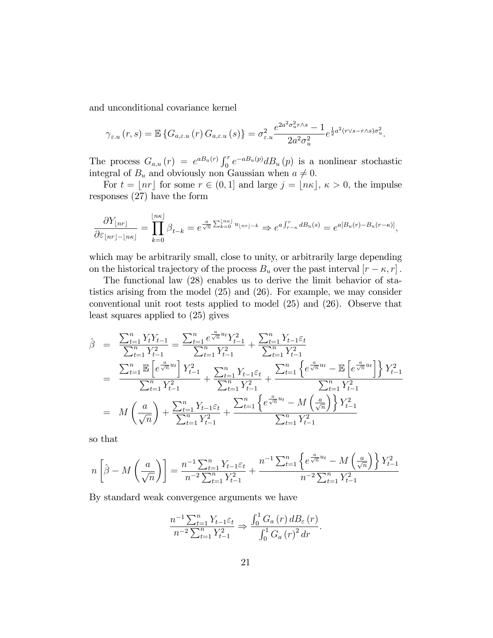and unconditional covariance kernel

$$
\gamma_{\varepsilon,u}(r,s) = \mathbb{E}\left\{G_{a,\varepsilon,u}(r) \, G_{a,\varepsilon,u}(s)\right\} = \sigma_{\varepsilon,u}^2 \frac{e^{2a^2 \sigma_u^2 r \wedge s} - 1}{2a^2 \sigma_u^2} e^{\frac{1}{2}a^2 (r \vee s - r \wedge s) \sigma_u^2}.
$$

The process  $G_{a,u}(r) = e^{a B_u(r)} \int_0^r e^{-a B_u(p)} d B_u(p)$  is a nonlinear stochastic integral of  $B_u$  and obviously non Gaussian when  $a \neq 0$ .

For  $t = |n r|$  for some  $r \in (0, 1]$  and large  $j = |n \kappa|, \kappa > 0$ , the impulse responses (27) have the form

$$
\frac{\partial Y_{\lfloor nr \rfloor}}{\partial \varepsilon_{\lfloor nr \rfloor - \lfloor n\kappa \rfloor}} = \prod_{k=0}^{\lfloor n\kappa \rfloor} \beta_{t-k} = e^{\frac{a}{\sqrt{n}} \sum_{k=0}^{\lfloor n\kappa \rfloor} u_{\lfloor nr \rfloor - k}} \Rightarrow e^{a \int_{r-\kappa}^r dB_u(s)} = e^{a[B_u(r) - B_u(r-\kappa)]},
$$

which may be arbitrarily small, close to unity, or arbitrarily large depending on the historical trajectory of the process  $B_u$  over the past interval  $[r - \kappa, r]$ .

The functional law (28) enables us to derive the limit behavior of statistics arising from the model (25) and (26). For example, we may consider conventional unit root tests applied to model (25) and (26). Observe that least squares applied to (25) gives

$$
\hat{\beta} = \frac{\sum_{t=1}^{n} Y_t Y_{t-1}}{\sum_{t=1}^{n} Y_{t-1}^2} = \frac{\sum_{t=1}^{n} e^{\frac{a}{\sqrt{n}} u_t} Y_{t-1}^2}{\sum_{t=1}^{n} Y_{t-1}^2} + \frac{\sum_{t=1}^{n} Y_{t-1} \varepsilon_t}{\sum_{t=1}^{n} Y_{t-1}^2}
$$
\n
$$
= \frac{\sum_{t=1}^{n} \mathbb{E} \left[ e^{\frac{a}{\sqrt{n}} u_t} \right] Y_{t-1}^2}{\sum_{t=1}^{n} Y_{t-1}^2} + \frac{\sum_{t=1}^{n} Y_{t-1} \varepsilon_t}{\sum_{t=1}^{n} Y_{t-1}^2} + \frac{\sum_{t=1}^{n} \left\{ e^{\frac{a}{\sqrt{n}} u_t} - \mathbb{E} \left[ e^{\frac{a}{\sqrt{n}} u_t} \right] \right\} Y_{t-1}^2}{\sum_{t=1}^{n} Y_{t-1}^2}
$$
\n
$$
= M \left( \frac{a}{\sqrt{n}} \right) + \frac{\sum_{t=1}^{n} Y_{t-1} \varepsilon_t}{\sum_{t=1}^{n} Y_{t-1}^2} + \frac{\sum_{t=1}^{n} \left\{ e^{\frac{a}{\sqrt{n}} u_t} - M \left( \frac{a}{\sqrt{n}} \right) \right\} Y_{t-1}^2}{\sum_{t=1}^{n} Y_{t-1}^2}
$$

so that

$$
n\left[\hat{\beta} - M\left(\frac{a}{\sqrt{n}}\right)\right] = \frac{n^{-1}\sum_{t=1}^{n} Y_{t-1}\varepsilon_t}{n^{-2}\sum_{t=1}^{n} Y_{t-1}^2} + \frac{n^{-1}\sum_{t=1}^{n} \left\{e^{\frac{a}{\sqrt{n}}u_t} - M\left(\frac{a}{\sqrt{n}}\right)\right\} Y_{t-1}^2}{n^{-2}\sum_{t=1}^{n} Y_{t-1}^2}
$$

By standard weak convergence arguments we have

$$
\frac{n^{-1}\sum_{t=1}^{n}Y_{t-1}\varepsilon_{t}}{n^{-2}\sum_{t=1}^{n}Y_{t-1}^{2}} \Rightarrow \frac{\int_{0}^{1}G_{a}(r) dB_{\varepsilon}(r)}{\int_{0}^{1}G_{a}(r)^{2} dr}.
$$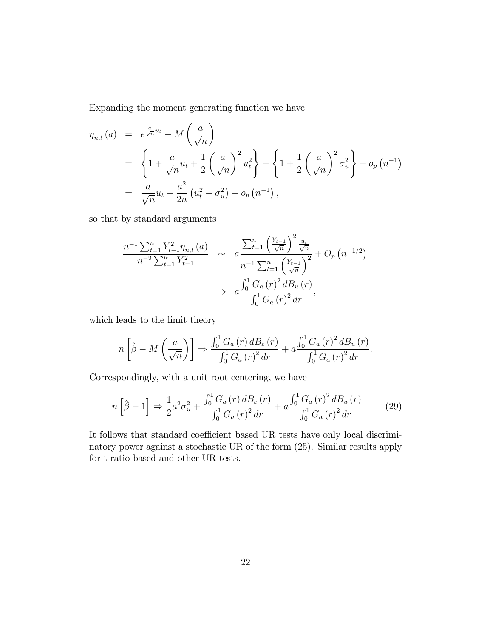Expanding the moment generating function we have

$$
\eta_{n,t}(a) = e^{\frac{a}{\sqrt{n}}u_t} - M\left(\frac{a}{\sqrt{n}}\right)
$$
  
=  $\left\{1 + \frac{a}{\sqrt{n}}u_t + \frac{1}{2}\left(\frac{a}{\sqrt{n}}\right)^2 u_t^2\right\} - \left\{1 + \frac{1}{2}\left(\frac{a}{\sqrt{n}}\right)^2 \sigma_u^2\right\} + o_p(n^{-1})$   
=  $\frac{a}{\sqrt{n}}u_t + \frac{a^2}{2n}(u_t^2 - \sigma_u^2) + o_p(n^{-1}),$ 

so that by standard arguments

$$
\frac{n^{-1} \sum_{t=1}^{n} Y_{t-1}^{2} \eta_{n,t}(a)}{n^{-2} \sum_{t=1}^{n} Y_{t-1}^{2}} \sim a \frac{\sum_{t=1}^{n} \left(\frac{Y_{t-1}}{\sqrt{n}}\right)^{2} \frac{u_{t}}{\sqrt{n}}}{n^{-1} \sum_{t=1}^{n} \left(\frac{Y_{t-1}}{\sqrt{n}}\right)^{2}} + O_{p}\left(n^{-1/2}\right)
$$

$$
\Rightarrow a \frac{\int_{0}^{1} G_{a}(r)^{2} dB_{u}(r)}{\int_{0}^{1} G_{a}(r)^{2} dr},
$$

which leads to the limit theory

$$
n\left[\hat{\beta} - M\left(\frac{a}{\sqrt{n}}\right)\right] \Rightarrow \frac{\int_0^1 G_a(r) \, dB_\varepsilon(r)}{\int_0^1 G_a(r)^2 \, dr} + a \frac{\int_0^1 G_a(r)^2 \, dB_u(r)}{\int_0^1 G_a(r)^2 \, dr}.
$$

Correspondingly, with a unit root centering, we have

$$
n\left[\hat{\beta} - 1\right] \Rightarrow \frac{1}{2}a^2\sigma_u^2 + \frac{\int_0^1 G_a(r) \, dB_\varepsilon(r)}{\int_0^1 G_a(r)^2 \, dr} + a\frac{\int_0^1 G_a(r)^2 \, dB_u(r)}{\int_0^1 G_a(r)^2 \, dr} \tag{29}
$$

It follows that standard coefficient based UR tests have only local discriminatory power against a stochastic UR of the form (25). Similar results apply for t-ratio based and other UR tests.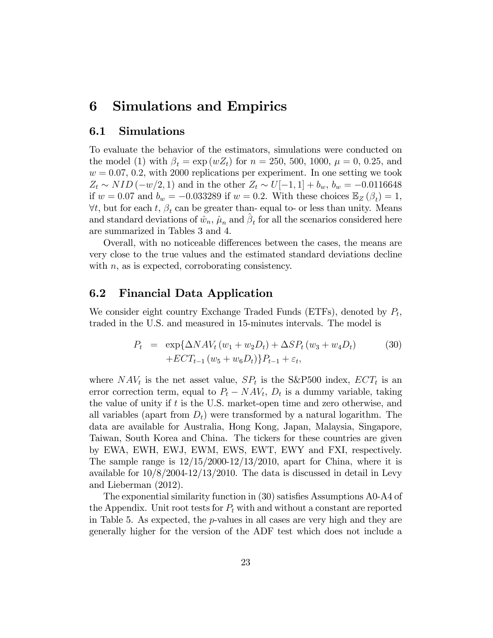# 6 Simulations and Empirics

#### 6.1 Simulations

To evaluate the behavior of the estimators, simulations were conducted on the model (1) with  $\beta_t = \exp(wZ_t)$  for  $n = 250, 500, 1000, \mu = 0, 0.25, \text{ and}$  $w = 0.07, 0.2$ , with 2000 replications per experiment. In one setting we took  $Z_t \sim NID(-w/2, 1)$  and in the other  $Z_t \sim U[-1, 1] + b_w$ ,  $b_w = -0.0116648$ if  $w = 0.07$  and  $b_w = -0.033289$  if  $w = 0.2$ . With these choices  $\mathbb{E}_Z(\beta_t) = 1$ ,  $\forall t$ , but for each t,  $\beta_t$  can be greater than-equal to- or less than unity. Means and standard deviations of  $\hat{w}_n$ ,  $\hat{\mu}_n$  and  $\hat{\beta}_t$  for all the scenarios considered here are summarized in Tables 3 and 4.

Overall, with no noticeable differences between the cases, the means are very close to the true values and the estimated standard deviations decline with *n*, as is expected, corroborating consistency.

#### 6.2 Financial Data Application

We consider eight country Exchange Traded Funds (ETFs), denoted by  $P_t$ , traded in the U.S. and measured in 15-minutes intervals. The model is

$$
P_t = \exp\{\Delta N A V_t (w_1 + w_2 D_t) + \Delta S P_t (w_3 + w_4 D_t) + E C T_{t-1} (w_5 + w_6 D_t) \} P_{t-1} + \varepsilon_t,
$$
\n(30)

where  $NAV_t$  is the net asset value,  $SP_t$  is the S&P500 index,  $ECT_t$  is an error correction term, equal to  $P_t - NAV_t$ ,  $D_t$  is a dummy variable, taking the value of unity if t is the U.S. market-open time and zero otherwise, and all variables (apart from  $D_t$ ) were transformed by a natural logarithm. The data are available for Australia, Hong Kong, Japan, Malaysia, Singapore, Taiwan, South Korea and China. The tickers for these countries are given by EWA, EWH, EWJ, EWM, EWS, EWT, EWY and FXI, respectively. The sample range is  $12/15/2000-12/13/2010$ , apart for China, where it is available for 10/8/2004-12/13/2010. The data is discussed in detail in Levy and Lieberman (2012).

The exponential similarity function in (30) satisfies Assumptions A0-A4 of the Appendix. Unit root tests for  $P_t$  with and without a constant are reported in Table 5. As expected, the p-values in all cases are very high and they are generally higher for the version of the ADF test which does not include a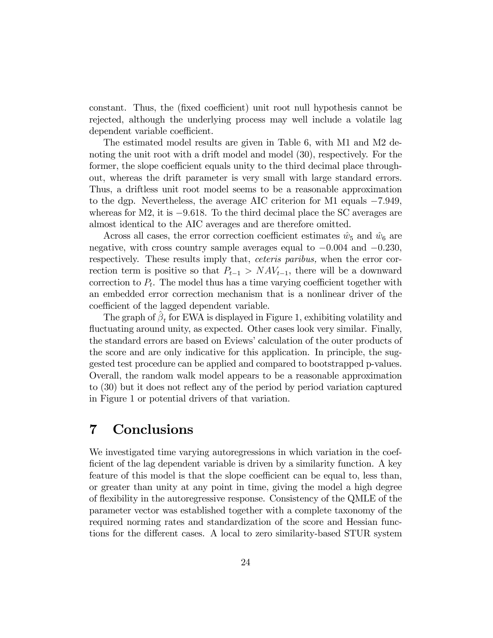constant. Thus, the (fixed coefficient) unit root null hypothesis cannot be rejected, although the underlying process may well include a volatile lag dependent variable coefficient.

The estimated model results are given in Table 6, with M1 and M2 denoting the unit root with a drift model and model (30), respectively. For the former, the slope coefficient equals unity to the third decimal place throughout, whereas the drift parameter is very small with large standard errors. Thus, a driftless unit root model seems to be a reasonable approximation to the dgp. Nevertheless, the average AIC criterion for M1 equals  $-7.949$ , whereas for  $M_2$ , it is  $-9.618$ . To the third decimal place the SC averages are almost identical to the AIC averages and are therefore omitted.

Across all cases, the error correction coefficient estimates  $\hat{w}_5$  and  $\hat{w}_6$  are negative, with cross country sample averages equal to  $-0.004$  and  $-0.230$ , respectively. These results imply that, ceteris paribus, when the error correction term is positive so that  $P_{t-1} > NAV_{t-1}$ , there will be a downward correction to  $P_t$ . The model thus has a time varying coefficient together with an embedded error correction mechanism that is a nonlinear driver of the coefficient of the lagged dependent variable.

The graph of  $\hat{\beta}_t$  for EWA is displayed in Figure 1, exhibiting volatility and fluctuating around unity, as expected. Other cases look very similar. Finally, the standard errors are based on Eviews' calculation of the outer products of the score and are only indicative for this application. In principle, the suggested test procedure can be applied and compared to bootstrapped p-values. Overall, the random walk model appears to be a reasonable approximation to (30) but it does not reflect any of the period by period variation captured in Figure 1 or potential drivers of that variation.

## 7 Conclusions

We investigated time varying autoregressions in which variation in the coefficient of the lag dependent variable is driven by a similarity function. A key feature of this model is that the slope coefficient can be equal to, less than, or greater than unity at any point in time, giving the model a high degree of áexibility in the autoregressive response. Consistency of the QMLE of the parameter vector was established together with a complete taxonomy of the required norming rates and standardization of the score and Hessian functions for the different cases. A local to zero similarity-based STUR system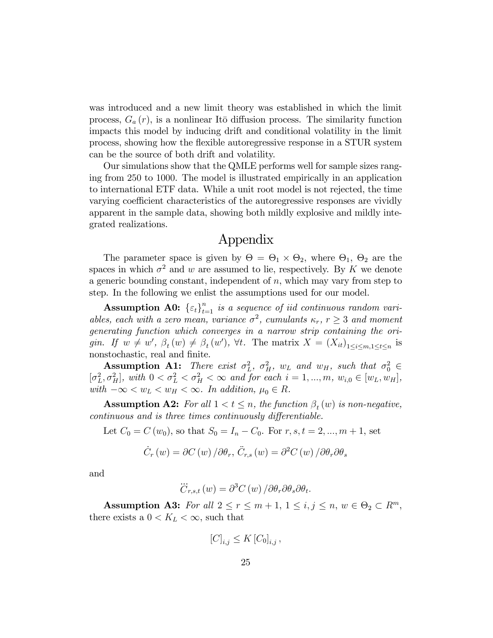was introduced and a new limit theory was established in which the limit process,  $G_a(r)$ , is a nonlinear Itō diffusion process. The similarity function impacts this model by inducing drift and conditional volatility in the limit process, showing how the áexible autoregressive response in a STUR system can be the source of both drift and volatility.

Our simulations show that the QMLE performs well for sample sizes ranging from 250 to 1000. The model is illustrated empirically in an application to international ETF data. While a unit root model is not rejected, the time varying coefficient characteristics of the autoregressive responses are vividly apparent in the sample data, showing both mildly explosive and mildly integrated realizations.

### Appendix

The parameter space is given by  $\Theta = \Theta_1 \times \Theta_2$ , where  $\Theta_1$ ,  $\Theta_2$  are the spaces in which  $\sigma^2$  and w are assumed to lie, respectively. By K we denote a generic bounding constant, independent of  $n$ , which may vary from step to step. In the following we enlist the assumptions used for our model.

**Assumption A0:**  $\{\varepsilon_t\}_{t=1}^n$  is a sequence of iid continuous random variables, each with a zero mean, variance  $\sigma^2$ , cumulants  $\kappa_r$ ,  $r \geq 3$  and moment generating function which converges in a narrow strip containing the origin. If  $w \neq w'$ ,  $\beta_t(w) \neq \beta_t(w')$ ,  $\forall t$ . The matrix  $X = (X_{it})_{1 \leq i \leq m, 1 \leq t \leq n}$  is nonstochastic, real and finite.

**Assumption A1:** There exist  $\sigma_L^2$ ,  $\sigma_H^2$ ,  $w_L$  and  $w_H$ , such that  $\sigma_0^2 \in$  $[\sigma_L^2, \sigma_H^2]$ , with  $0 < \sigma_L^2 < \sigma_H^2 < \infty$  and for each  $i = 1, ..., m$ ,  $w_{i,0} \in [w_L, w_H]$ , with  $-\infty < w_L < w_H < \infty$ . In addition,  $\mu_0 \in R$ .

**Assumption A2:** For all  $1 < t \leq n$ , the function  $\beta_t(w)$  is non-negative, continuous and is three times continuously differentiable.

Let  $C_0 = C(w_0)$ , so that  $S_0 = I_n - C_0$ . For  $r, s, t = 2, ..., m + 1$ , set

$$
\dot{C}_r(w) = \partial C(w) / \partial \theta_r, \, \ddot{C}_{r,s}(w) = \partial^2 C(w) / \partial \theta_r \partial \theta_s
$$

and

$$
\dddot{C}_{r,s,t}(w) = \partial^3 C(w) / \partial \theta_r \partial \theta_s \partial \theta_t.
$$

Assumption A3: For all  $2 \le r \le m + 1, 1 \le i, j \le n, w \in \Theta_2 \subset R^m$ , there exists a  $0 < K_L < \infty$ , such that

$$
[C]_{i,j} \leq K [C_0]_{i,j},
$$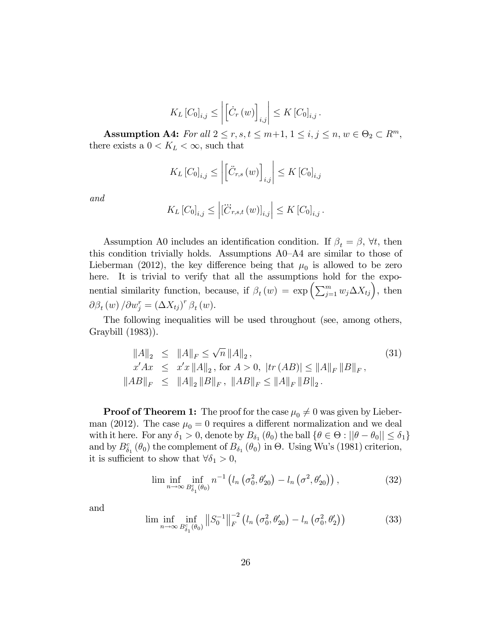$$
K_L[C_0]_{i,j} \leq \left| \left[ \dot{C}_r(w) \right]_{i,j} \right| \leq K[C_0]_{i,j}.
$$

Assumption A4: For all  $2 \le r, s, t \le m+1, 1 \le i, j \le n, w \in \Theta_2 \subset R^m$ , there exists a  $0 < K_L < \infty$ , such that

$$
K_L[C_0]_{i,j} \le \left| \left[ \ddot{C}_{r,s} \left( w \right) \right]_{i,j} \right| \le K \left[ C_0 \right]_{i,j}
$$

and

$$
K_L[C_0]_{i,j} \leq \left| [\dddot{C}_{r,s,t}(w)]_{i,j} \right| \leq K[C_0]_{i,j}.
$$

Assumption A0 includes an identification condition. If  $\beta_t = \beta$ ,  $\forall t$ , then this condition trivially holds. Assumptions  $A0-A4$  are similar to those of Lieberman (2012), the key difference being that  $\mu_0$  is allowed to be zero here. It is trivial to verify that all the assumptions hold for the exponential similarity function, because, if  $\beta_t(w) = \exp\left(\sum_{j=1}^m w_j \Delta X_{tj}\right)$ , then  $\partial \beta_t \left( w \right) / \partial w_j^r = \left( \Delta X_{tj} \right)^r \beta_t \left( w \right).$ 

The following inequalities will be used throughout (see, among others, Graybill (1983)).

$$
\|A\|_{2} \leq \|A\|_{F} \leq \sqrt{n} \|A\|_{2},
$$
  
\n
$$
x'Ax \leq x'x \|A\|_{2}, \text{ for } A > 0, |tr(AB)| \leq \|A\|_{F} \|B\|_{F},
$$
  
\n
$$
\|AB\|_{F} \leq \|A\|_{2} \|B\|_{F}, \|AB\|_{F} \leq \|A\|_{F} \|B\|_{2}.
$$
\n(31)

**Proof of Theorem 1:** The proof for the case  $\mu_0 \neq 0$  was given by Lieberman (2012). The case  $\mu_0 = 0$  requires a different normalization and we deal with it here. For any  $\delta_1 > 0$ , denote by  $B_{\delta_1}(\theta_0)$  the ball  $\{\theta \in \Theta : ||\theta - \theta_0|| \leq \delta_1\}$ and by  $B_{\delta_1}^c(\theta_0)$  the complement of  $B_{\delta_1}(\theta_0)$  in  $\Theta$ . Using Wu's (1981) criterion, it is sufficient to show that  $\forall \delta_1 > 0$ ,

$$
\liminf_{n \to \infty} \inf_{B_{\delta_1}^c(\theta_0)} n^{-1} \left( l_n \left( \sigma_0^2, \theta_{20}' \right) - l_n \left( \sigma^2, \theta_{20}' \right) \right), \tag{32}
$$

and

$$
\lim_{n \to \infty} \inf_{B_{\delta_1}^c(\theta_0)} \|S_0^{-1}\|_F^{-2} \left( l_n\left(\sigma_0^2, \theta'_{20}\right) - l_n\left(\sigma_0^2, \theta'_2\right) \right) \tag{33}
$$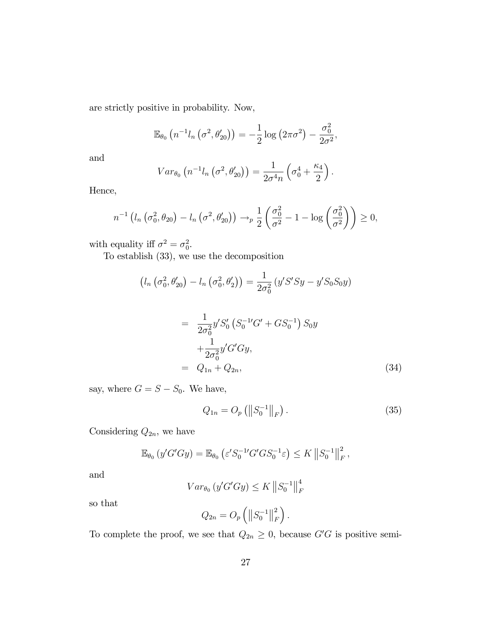are strictly positive in probability. Now,

$$
\mathbb{E}_{\theta_0} \left( n^{-1} l_n \left( \sigma^2, \theta'_{20} \right) \right) = -\frac{1}{2} \log \left( 2\pi \sigma^2 \right) - \frac{\sigma_0^2}{2\sigma^2},
$$

and

$$
Var_{\theta_0} (n^{-1}l_n (\sigma^2, \theta'_{20})) = \frac{1}{2\sigma^4 n} (\sigma_0^4 + \frac{\kappa_4}{2}).
$$

Hence,

$$
n^{-1}\left(l_n\left(\sigma_0^2, \theta_{20}\right) - l_n\left(\sigma^2, \theta'_{20}\right)\right) \to_p \frac{1}{2}\left(\frac{\sigma_0^2}{\sigma^2} - 1 - \log\left(\frac{\sigma_0^2}{\sigma^2}\right)\right) \ge 0,
$$

with equality iff  $\sigma^2 = \sigma_0^2$ .

To establish (33), we use the decomposition

$$
(l_n \left(\sigma_0^2, \theta'_{20}\right) - l_n \left(\sigma_0^2, \theta'_2\right)) = \frac{1}{2\sigma_0^2} \left(y'S'Sy - y'S_0S_0y\right)
$$

$$
= \frac{1}{2\sigma_0^2} y'S_0' \left( S_0^{-1'} G' + G S_0^{-1} \right) S_0 y + \frac{1}{2\sigma_0^2} y' G' G y, = Q_{1n} + Q_{2n},
$$
 (34)

say, where  $G = S - S_0$ . We have,

$$
Q_{1n} = O_p \left( \left\| S_0^{-1} \right\|_F \right). \tag{35}
$$

Considering  $Q_{2n}$ , we have

$$
\mathbb{E}_{\theta_0} \left( y' G' G y \right) = \mathbb{E}_{\theta_0} \left( \varepsilon' S_0^{-1} G' G S_0^{-1} \varepsilon \right) \leq K \left\| S_0^{-1} \right\|_F^2,
$$

and

$$
Var_{\theta_0} (y'G'Gy) \leq K \left\| S_0^{-1} \right\|_F^4
$$

so that

$$
Q_{2n} = O_p \left( \left\| S_0^{-1} \right\|_F^2 \right).
$$

To complete the proof, we see that  $Q_{2n} \geq 0$ , because  $G'G$  is positive semi-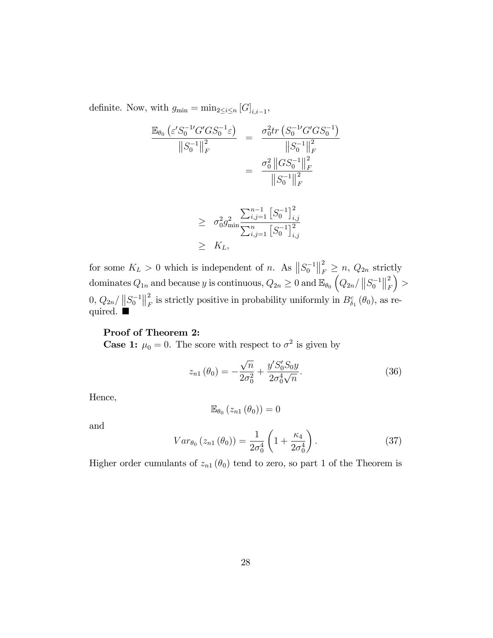definite. Now, with  $g_{\min} = \min_{2 \leq i \leq n} [G]_{i,i-1}$ ,

$$
\frac{\mathbb{E}_{\theta_0} \left( \varepsilon' S_0^{-1} G' G S_0^{-1} \varepsilon \right)}{\| S_0^{-1} \|^2_F} = \frac{\sigma_0^2 tr \left( S_0^{-1} G' G S_0^{-1} \right)}{\| S_0^{-1} \|^2_F}
$$

$$
= \frac{\sigma_0^2 \left\| G S_0^{-1} \right\|_F^2}{\| S_0^{-1} \|^2_F}
$$

$$
\geq \sigma_0^2 g_{\min}^2 \frac{\sum_{i,j=1}^{n-1} \left[ S_0^{-1} \right]_{i,j}^2}{\sum_{i,j=1}^n \left[ S_0^{-1} \right]_{i,j}^2}
$$

for some  $K_L > 0$  which is independent of n. As  $||S_0^{-1}||_F^2$  $\sum_{F}^{2} \geq n$ ,  $Q_{2n}$  strictly dominates  $Q_{1n}$  and because y is continuous,  $Q_{2n} \geq 0$  and  $\mathbb{E}_{\theta_0} \left( Q_{2n}/\left\|S_0^{-1}\right\|_{F}^2 \right)$ F  $)$  >  $0, Q_{2n}/ \|S_0^{-1}\|_F^2$  $\frac{2}{F}$  is strictly positive in probability uniformly in  $B_{\delta_1}^c(\theta_0)$ , as required.

#### Proof of Theorem 2:

**Case 1:**  $\mu_0 = 0$ . The score with respect to  $\sigma^2$  is given by

 $\geq$   $K_L$ ,

$$
z_{n1}(\theta_0) = -\frac{\sqrt{n}}{2\sigma_0^2} + \frac{y'S_0'S_0y}{2\sigma_0^4\sqrt{n}}.\tag{36}
$$

Hence,

$$
\mathbb{E}_{\theta_0}\left(z_{n1}\left(\theta_0\right)\right)=0
$$

and

$$
Var_{\theta_0} (z_{n1} (\theta_0)) = \frac{1}{2\sigma_0^4} \left( 1 + \frac{\kappa_4}{2\sigma_0^4} \right).
$$
 (37)

Higher order cumulants of  $z_{n1}(\theta_0)$  tend to zero, so part 1 of the Theorem is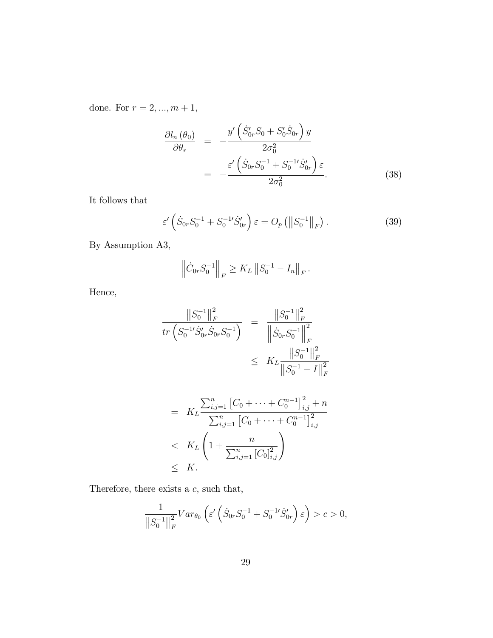done. For  $r=2,...,m+1,$ 

$$
\frac{\partial l_n(\theta_0)}{\partial \theta_r} = -\frac{y'\left(\dot{S}_{0r}'S_0 + S_0'\dot{S}_{0r}\right)y}{2\sigma_0^2}
$$

$$
= -\frac{\varepsilon'\left(\dot{S}_{0r}S_0^{-1} + S_0^{-1'}\dot{S}_{0r}'\right)\varepsilon}{2\sigma_0^2}.
$$
(38)

It follows that

$$
\varepsilon' \left( \dot{S}_{0r} S_0^{-1} + S_0^{-1'} \dot{S}_{0r}' \right) \varepsilon = O_p \left( \left\| S_0^{-1} \right\|_F \right). \tag{39}
$$

By Assumption A3,

$$
\left\| \dot{C}_{0r} S_0^{-1} \right\|_F \geq K_L \left\| S_0^{-1} - I_n \right\|_F.
$$

Hence,

$$
\frac{\|S_0^{-1}\|_F^2}{\operatorname{tr}\left(S_0^{-1}\dot{S}_{0r}'\dot{S}_{0r}S_0^{-1}\right)} = \frac{\|S_0^{-1}\|_F^2}{\left\|\dot{S}_{0r}S_0^{-1}\right\|_F^2}
$$
  

$$
\leq K_L \frac{\|S_0^{-1}\|_F^2}{\|S_0^{-1} - I\|_F^2}
$$
  

$$
= K_L \frac{\sum_{i,j=1}^n \left[C_0 + \dots + C_0^{n-1}\right]_{i,j}^2 + n}{\sum_{i,j=1}^n \left[C_0 + \dots + C_0^{n-1}\right]_{i,j}^2 + n}
$$

$$
= \Lambda_L \frac{\sum_{i,j=1}^n [C_0 + \dots + C_0^{n-1}]_{i,j}^2}{\sum_{i,j=1}^n [C_0]_{i,j}^2}
$$
  
 
$$
\leq K_L \left(1 + \frac{n}{\sum_{i,j=1}^n [C_0]_{i,j}^2}\right)
$$
  
 
$$
\leq K.
$$

Therefore, there exists a  $c$ , such that,

$$
\frac{1}{\left\|S_0^{-1}\right\|_F^2} Var_{\theta_0}\left(\varepsilon'\left(\dot{S}_{0r}S_0^{-1} + S_0^{-1'}\dot{S}_{0r}'\right)\varepsilon\right) > c > 0,
$$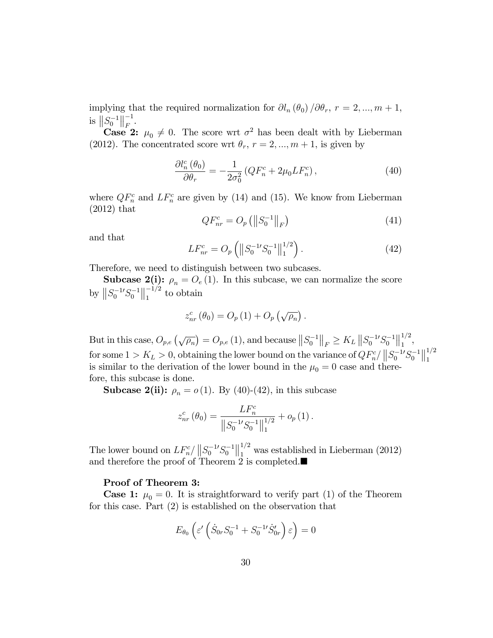implying that the required normalization for  $\partial l_n (\theta_0) / \partial \theta_r$ ,  $r = 2, ..., m + 1$ , is  $||S_0^{-1}||_F^{-1}$  $\frac{-1}{F}$ .

**Case 2:**  $\mu_0 \neq 0$ . The score wrt  $\sigma^2$  has been dealt with by Lieberman (2012). The concentrated score wrt  $\theta_r$ ,  $r = 2, ..., m + 1$ , is given by

$$
\frac{\partial l_n^c(\theta_0)}{\partial \theta_r} = -\frac{1}{2\sigma_0^2} \left( Q F_n^c + 2\mu_0 L F_n^c \right),\tag{40}
$$

where  $QF_n^c$  and  $LF_n^c$  are given by (14) and (15). We know from Lieberman (2012) that

$$
QF_{nr}^{c} = O_{p} \left( \left\| S_{0}^{-1} \right\|_{F} \right)
$$
 (41)

and that

$$
LF_{nr}^{c} = O_p\left(\left\|S_0^{-1}S_0^{-1}\right\|_1^{1/2}\right). \tag{42}
$$

Therefore, we need to distinguish between two subcases.

**Subcase 2(i):**  $\rho_n = O_e(1)$ . In this subcase, we can normalize the score by  $||S_0^{-1}S_0^{-1}||_1^{-1/2}$  $\frac{-1}{1}$  to obtain

$$
z_{nr}^{c}(\theta_{0})=O_{p}(1)+O_{p}(\sqrt{\rho_{n}}).
$$

But in this case,  $O_{p,e}(\sqrt{\rho_n}) = O_{p,e}(1)$ , and because  $||S_0^{-1}||_F \geq K_L ||S_0^{-1}S_0^{-1}||_1^{1/2}$  $\frac{1}{1}$ , for some  $1 > K_L > 0$ , obtaining the lower bound on the variance of  $QF_n^c / ||S_0^{-1}S_0^{-1}||_1^{1/2}$ 1 is similar to the derivation of the lower bound in the  $\mu_0 = 0$  case and therefore, this subcase is done.

**Subcase 2(ii):**  $\rho_n = o(1)$ . By (40)-(42), in this subcase

$$
z_{nr}^{c}(\theta_0) = \frac{LF_n^c}{\left\|S_0^{-1}S_0^{-1}\right\|_1^{1/2}} + o_p(1).
$$

The lower bound on  $LF_{n}^{c}/||S_{0}^{-1}S_{0}^{-1}||_{1}^{1/2}$  $\int_{1}^{1/2}$  was established in Lieberman (2012) and therefore the proof of Theorem 2 is completed.

#### Proof of Theorem 3:

**Case 1:**  $\mu_0 = 0$ . It is straightforward to verify part (1) of the Theorem for this case. Part (2) is established on the observation that

$$
E_{\theta_0} \left( \varepsilon' \left( \dot{S}_{0r} S_0^{-1} + S_0^{-1} \dot{S}_{0r}' \right) \varepsilon \right) = 0
$$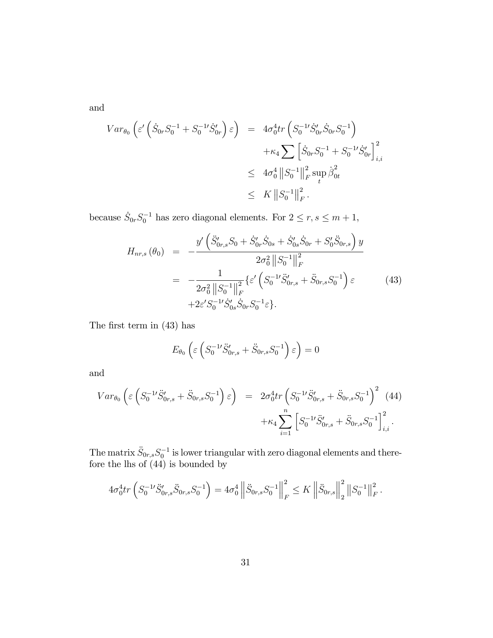and

$$
Var_{\theta_0} \left( \varepsilon' \left( \dot{S}_{0r} S_0^{-1} + S_0^{-1} \dot{S}_{0r}' \right) \varepsilon \right) = 4\sigma_0^4 tr \left( S_0^{-1} \dot{S}_{0r}' \dot{S}_{0r} S_0^{-1} \right) + \kappa_4 \sum \left[ \dot{S}_{0r} S_0^{-1} + S_0^{-1} \dot{S}_{0r}' \right]_{i,i}^2 \leq 4\sigma_0^4 \left\| S_0^{-1} \right\|_F^2 \sup_t \dot{\beta}_{0t}^2 \leq K \left\| S_0^{-1} \right\|_F^2.
$$

because  $\dot{S}_{0r}S_0^{-1}$  has zero diagonal elements. For  $2 \le r, s \le m + 1$ ,

$$
H_{nr,s}(\theta_0) = -\frac{y' \left( \ddot{S}_{0r,s}' S_0 + \dot{S}_{0r}' \dot{S}_{0s} + \dot{S}_{0s}' \dot{S}_{0r} + S_0' \ddot{S}_{0r,s} \right) y}{2\sigma_0^2 ||S_0^{-1}||_F^2}
$$
  
= 
$$
-\frac{1}{2\sigma_0^2 ||S_0^{-1}||_F^2} \{ \varepsilon' \left( S_0^{-1} \ddot{S}_{0r,s}' + \ddot{S}_{0r,s} S_0^{-1} \right) \varepsilon \qquad (43)
$$

$$
+2\varepsilon' S_0^{-1} \dot{S}_{0s}' \dot{S}_{0r} S_0^{-1} \varepsilon \}.
$$

The first term in  $(43)$  has

$$
E_{\theta_0} \left( \varepsilon \left( S_0^{-1} \ddot{S}_{0r,s}' + \ddot{S}_{0r,s} S_0^{-1} \right) \varepsilon \right) = 0
$$

and

$$
Var_{\theta_0} \left( \varepsilon \left( S_0^{-1} \ddot{S}_{0r,s}^{\prime} + \ddot{S}_{0r,s} S_0^{-1} \right) \varepsilon \right) = 2\sigma_0^4 tr \left( S_0^{-1} \ddot{S}_{0r,s}^{\prime} + \ddot{S}_{0r,s} S_0^{-1} \right)^2 (44) + \kappa_4 \sum_{i=1}^n \left[ S_0^{-1} \ddot{S}_{0r,s}^{\prime} + \ddot{S}_{0r,s} S_0^{-1} \right]_{i,i}^2.
$$

The matrix  $\ddot{S}_{0r,s} S_0^{-1}$  is lower triangular with zero diagonal elements and therefore the lhs of (44) is bounded by

$$
4\sigma_0^4 tr\left(S_0^{-1} S'_{0r,s} S_{0r,s} S_0^{-1}\right) = 4\sigma_0^4 \left\| \ddot{S}_{0r,s} S_0^{-1} \right\|_F^2 \leq K \left\| \ddot{S}_{0r,s} \right\|_2^2 \left\| S_0^{-1} \right\|_F^2.
$$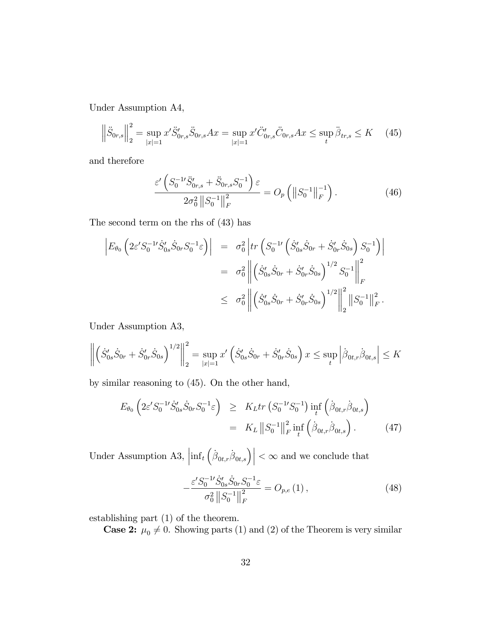Under Assumption A4,

$$
\left\|\ddot{S}_{0r,s}\right\|_{2}^{2} = \sup_{|x|=1} x'\ddot{S}_{0r,s}'\ddot{S}_{0r,s}Ax = \sup_{|x|=1} x'\ddot{C}_{0r,s}'\ddot{C}_{0r,s}Ax \le \sup_{t} \ddot{\beta}_{tr,s} \le K \quad (45)
$$

and therefore

$$
\frac{\varepsilon'\left(S_0^{-1}\ddot{S}_{0r,s}' + \ddot{S}_{0r,s}S_0^{-1}\right)\varepsilon}{2\sigma_0^2 \left\|S_0^{-1}\right\|_F^2} = O_p\left(\left\|S_0^{-1}\right\|_F^{-1}\right). \tag{46}
$$

The second term on the rhs of (43) has

$$
\begin{split}\n\left| E_{\theta_0} \left( 2\varepsilon' S_0^{-1} \dot{S}_{0s}' \dot{S}_{0r} S_0^{-1} \varepsilon \right) \right| &= \sigma_0^2 \left| tr \left( S_0^{-1} \left( \dot{S}_{0s}' \dot{S}_{0r} + \dot{S}_{0r}' \dot{S}_{0s} \right) S_0^{-1} \right) \right| \\
&= \sigma_0^2 \left\| \left( \dot{S}_{0s}' \dot{S}_{0r} + \dot{S}_{0r}' \dot{S}_{0s} \right)^{1/2} S_0^{-1} \right\|_F^2 \\
&\leq \sigma_0^2 \left\| \left( \dot{S}_{0s}' \dot{S}_{0r} + \dot{S}_{0r}' \dot{S}_{0s} \right)^{1/2} \right\|_2^2 \left\| S_0^{-1} \right\|_F^2.\n\end{split}
$$

Under Assumption A3,

$$
\left\| \left( \dot{S}_{0s}' \dot{S}_{0r} + \dot{S}_{0r}' \dot{S}_{0s} \right)^{1/2} \right\|_2^2 = \sup_{|x|=1} x' \left( \dot{S}_{0s}' \dot{S}_{0r} + \dot{S}_{0r}' \dot{S}_{0s} \right) x \le \sup_t \left| \dot{\beta}_{0t,r} \dot{\beta}_{0t,s} \right| \le K
$$

by similar reasoning to (45). On the other hand,

$$
E_{\theta_0} \left( 2\varepsilon' S_0^{-1} \dot{S}_{0s}' \dot{S}_{0r} S_0^{-1} \varepsilon \right) \geq K_L tr \left( S_0^{-1} S_0^{-1} \right) \inf_t \left( \dot{\beta}_{0t,r} \dot{\beta}_{0t,s} \right)
$$
  
=  $K_L ||S_0^{-1}||_F^2 \inf_t \left( \dot{\beta}_{0t,r} \dot{\beta}_{0t,s} \right).$  (47)

Under Assumption A3,  $\left| \inf_t \left( \dot{\beta}_{0t,r} \dot{\beta}_{0t,s} \right) \right| < \infty$  and we conclude that

$$
-\frac{\varepsilon' S_0^{-1} \dot{S}_{0s}' \dot{S}_{0r} S_0^{-1} \varepsilon}{\sigma_0^2 \|S_0^{-1}\|_F^2} = O_{p,e}(1),\tag{48}
$$

establishing part (1) of the theorem.

**Case 2:**  $\mu_0 \neq 0$ . Showing parts (1) and (2) of the Theorem is very similar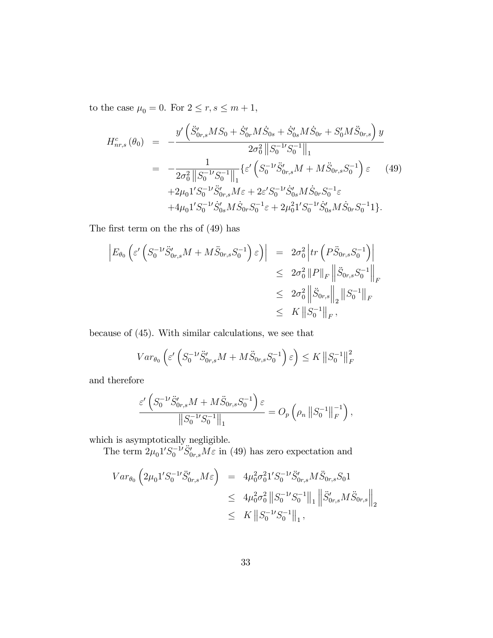to the case  $\mu_0 = 0.$  For  $2 \leq r,s \leq m+1,$ 

$$
H_{nr,s}^{c}(\theta_{0}) = -\frac{y' \left( \ddot{S}_{0r,s}^{\prime} M S_{0} + \dot{S}_{0r}^{\prime} M \dot{S}_{0s} + \dot{S}_{0s}^{\prime} M \dot{S}_{0r} + S_{0}^{\prime} M \ddot{S}_{0r,s} \right) y}{2\sigma_{0}^{2} ||S_{0}^{-1} S_{0}^{-1}||_{1}}
$$
  
= 
$$
-\frac{1}{2\sigma_{0}^{2} ||S_{0}^{-1} S_{0}^{-1}||_{1}} \{\varepsilon^{\prime} \left( S_{0}^{-1} \ddot{S}_{0r,s}^{\prime} M + M \ddot{S}_{0r,s} S_{0}^{-1} \right) \varepsilon \qquad (49)
$$

$$
+2\mu_{0} 1^{\prime} S_{0}^{-1} \ddot{S}_{0r,s}^{\prime} M \varepsilon + 2\varepsilon^{\prime} S_{0}^{-1} \dot{S}_{0s}^{\prime} M \dot{S}_{0r} S_{0}^{-1} \varepsilon + 4\mu_{0} 1^{\prime} S_{0}^{-1} \dot{S}_{0s}^{\prime} M \dot{S}_{0r} S_{0}^{-1} \varepsilon + 2\mu_{0}^{2} 1^{\prime} S_{0s}^{-1} M \dot{S}_{0r}^{\prime} S_{0}^{-1} 1 \}.
$$

The first term on the rhs of  $(49)$  has

$$
\begin{aligned}\n\left| E_{\theta_0} \left( \varepsilon' \left( S_0^{-1} \ddot{S}_{0r,s}^{\prime} M + M \ddot{S}_{0r,s} S_0^{-1} \right) \varepsilon \right) \right| &= 2\sigma_0^2 \left| \operatorname{tr} \left( P \ddot{S}_{0r,s} S_0^{-1} \right) \right| \\
&\leq 2\sigma_0^2 \left\| P \right\|_F \left\| \ddot{S}_{0r,s} S_0^{-1} \right\|_F \\
&\leq 2\sigma_0^2 \left\| \ddot{S}_{0r,s} \right\|_2 \left\| S_0^{-1} \right\|_F \\
&\leq K \left\| S_0^{-1} \right\|_F,\n\end{aligned}
$$

because of (45). With similar calculations, we see that

$$
Var_{\theta_0}\left(\varepsilon'\left(S_0^{-1}\ddot{S}_{0r,s}^{\prime}M + M\ddot{S}_{0r,s}S_0^{-1}\right)\varepsilon\right) \le K \left\|S_0^{-1}\right\|_F^2
$$

and therefore

$$
\frac{\varepsilon'\left(S_0^{-1}\ddot{S}_{0r,s}^{\prime}M + M\ddot{S}_{0r,s}S_0^{-1}\right)\varepsilon}{\left\|S_0^{-1}\ddot{S}_0^{-1}\right\|_1} = O_p\left(\rho_n \left\|S_0^{-1}\right\|_F^{-1}\right),
$$

which is asymptotically negligible.

The term  $2\mu_0 1' S_0^{-1'} \ddot{S}_{0r,s} M \varepsilon$  in (49) has zero expectation and

$$
Var_{\theta_0} \left( 2\mu_0 1' S_0^{-1'} \ddot{S}_{0r,s}^{\prime} M \varepsilon \right) = 4\mu_0^2 \sigma_0^2 1' S_0^{-1'} \ddot{S}_{0r,s}^{\prime} M \ddot{S}_{0r,s} S_0 1
$$
  

$$
\leq 4\mu_0^2 \sigma_0^2 ||S_0^{-1} S_0^{-1}||_1 ||\ddot{S}_{0r,s}^{\prime} M \ddot{S}_{0r,s}||_2
$$
  

$$
\leq K ||S_0^{-1} S_0^{-1}||_1,
$$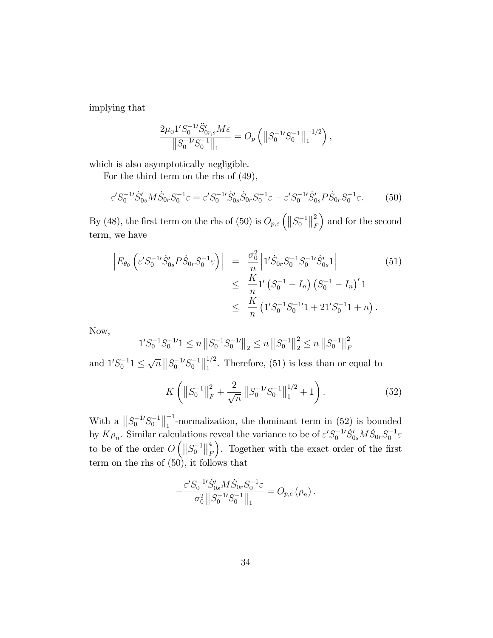implying that

$$
\frac{2\mu_0 1'S_0^{-1'}\ddot{S}_{0r,s}^{\prime}M\varepsilon}{\left\|S_0^{-1'}S_0^{-1}\right\|_1} = O_p\left(\left\|S_0^{-1'}S_0^{-1}\right\|_1^{-1/2}\right),
$$

which is also asymptotically negligible.

For the third term on the rhs of (49),

$$
\varepsilon' S_0^{-1} \dot{S}_{0s}' M \dot{S}_{0r} S_0^{-1} \varepsilon = \varepsilon' S_0^{-1} \dot{S}_{0s}' \dot{S}_{0r} S_0^{-1} \varepsilon - \varepsilon' S_0^{-1} \dot{S}_{0s}' P \dot{S}_{0r} S_0^{-1} \varepsilon. \tag{50}
$$

By (48), the first term on the rhs of (50) is  $O_{p,e}$   $\left(\left\|S_0^{-1}\right\|_F^2\right)$ F ) and for the second term, we have

$$
\begin{aligned}\n\left| E_{\theta_0} \left( \varepsilon' S_0^{-1} \dot{S}_{0s}' P \dot{S}_{0r} S_0^{-1} \varepsilon \right) \right| &= \left| \frac{\sigma_0^2}{n} \left| 1' \dot{S}_{0r} S_0^{-1} S_0^{-1} \dot{S}_{0s}' 1 \right| \\
&\leq \left| \frac{K}{n} 1' \left( S_0^{-1} - I_n \right) \left( S_0^{-1} - I_n \right)' 1 \\
&\leq \left| \frac{K}{n} \left( 1' S_0^{-1} S_0^{-1} 1 + 21' S_0^{-1} 1 + n \right) .\n\end{aligned}\n\tag{51}
$$

Now,

$$
1'S_0^{-1}S_0^{-1'}1 \le n \|S_0^{-1}S_0^{-1'}\|_2 \le n \|S_0^{-1}\|_2^2 \le n \|S_0^{-1}\|_F^2
$$

and  $1'S_0^{-1}1 \leq \sqrt{n} ||S_0^{-1}S_0^{-1}||_1^{1/2}$  $\int_{1}^{1/2}$ . Therefore, (51) is less than or equal to

$$
K\left(\left\|S_0^{-1}\right\|_F^2 + \frac{2}{\sqrt{n}}\left\|S_0^{-1}S_0^{-1}\right\|_1^{1/2} + 1\right). \tag{52}
$$

With a  $||S_0^{-1}S_0^{-1}||_1^{-1}$  $\frac{1}{1}$ -normalization, the dominant term in (52) is bounded by  $K\rho_n$ . Similar calculations reveal the variance to be of  $\varepsilon' S_0^{-1} S'_{0s} M \dot{S}_{0r} S_0^{-1} \varepsilon$ to be of the order  $O\left(\left\|S_0^{-1}\right\|_F^4\right)$ F ). Together with the exact order of the first term on the rhs of  $(50)$ , it follows that

$$
-\frac{\varepsilon' S_0^{-1'} \dot{S}_{0s}' M \dot{S}_{0r} S_0^{-1} \varepsilon}{\sigma_0^2 \|S_0^{-1} S_0^{-1}\|_1} = O_{p,e}(\rho_n).
$$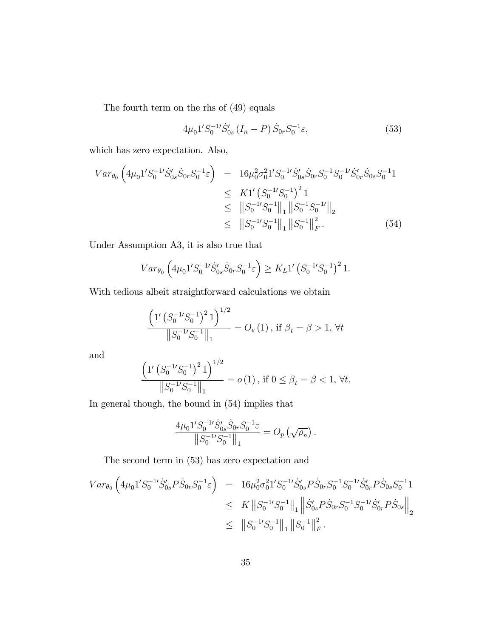The fourth term on the rhs of (49) equals

$$
4\mu_0 1' S_0^{-1'} \dot{S}_{0s}' \left( I_n - P \right) \dot{S}_{0r} S_0^{-1} \varepsilon, \tag{53}
$$

which has zero expectation. Also,

$$
Var_{\theta_{0}}\left(4\mu_{0}1'S_{0}^{-1}S_{0s}^{'}\dot{S}_{0r}S_{0}^{-1}\varepsilon\right) = 16\mu_{0}^{2}\sigma_{0}^{2}1'S_{0}^{-1}\dot{S}_{0s}^{'}\dot{S}_{0r}S_{0}^{-1}S_{0}^{-1}S_{0r}^{'}\dot{S}_{0s}^{'}S_{0}^{-1}1
$$
  
\n
$$
\leq K1'\left(S_{0}^{-1}S_{0}^{-1}\right)^{2}1
$$
  
\n
$$
\leq ||S_{0}^{-1}S_{0}^{-1}||_{1}||S_{0}^{-1}S_{0}^{-1}||_{2}
$$
  
\n
$$
\leq ||S_{0}^{-1}S_{0}^{-1}||_{1}||S_{0}^{-1}||_{F}^{2}. \tag{54}
$$

Under Assumption A3, it is also true that

$$
Var_{\theta_0} \left( 4\mu_0 1' S_0^{-1'} \dot{S}_{0s}' \dot{S}_{0r} S_0^{-1} \varepsilon \right) \geq K_L 1' \left( S_0^{-1} S_0^{-1} \right)^2 1.
$$

With tedious albeit straightforward calculations we obtain

$$
\frac{\left(1'\left(S_0^{-1'}S_0^{-1}\right)^2 1\right)^{1/2}}{\|S_0^{-1'}S_0^{-1}\|_1} = O_e\left(1\right), \text{ if } \beta_t = \beta > 1, \forall t
$$

and

$$
\frac{\left(1'\left(S_0^{-1}S_0^{-1}\right)^2 1\right)^{1/2}}{\|S_0^{-1}S_0^{-1}\|_1} = o(1), \text{ if } 0 \le \beta_t = \beta < 1, \forall t.
$$

In general though, the bound in (54) implies that

$$
\frac{4\mu_0 1' S_0^{-1} \dot{S}_{0s}' \dot{S}_{0r} S_0^{-1} \varepsilon}{\|S_0^{-1} S_0^{-1}\|_1} = O_p\left(\sqrt{\rho_n}\right).
$$

The second term in (53) has zero expectation and

$$
Var_{\theta_0} \left( 4\mu_0 1' S_0^{-1'} \dot{S}_{0s}' P \dot{S}_{0r} S_0^{-1} \varepsilon \right) = 16\mu_0^2 \sigma_0^2 1' S_0^{-1} \dot{S}_{0s}' P \dot{S}_{0r} S_0^{-1} S_0^{-1} \dot{S}_{0r}' P \dot{S}_{0s} S_0^{-1} 1
$$
  
\n
$$
\leq K \left\| S_0^{-1} S_0^{-1} \right\|_1 \left\| \dot{S}_{0s}' P \dot{S}_{0r} S_0^{-1} S_0^{-1} \dot{S}_{0r}' P \dot{S}_{0s} \right\|_2
$$
  
\n
$$
\leq \| S_0^{-1} S_0^{-1} \|_1 \| S_0^{-1} \|_F^2.
$$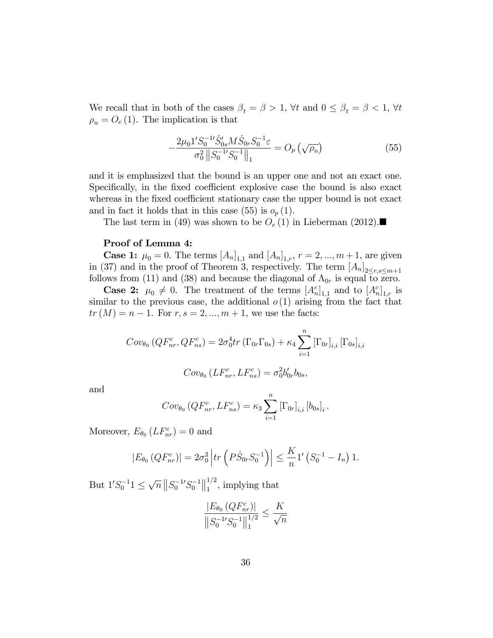We recall that in both of the cases  $\beta_t = \beta > 1$ ,  $\forall t$  and  $0 \leq \beta_t = \beta < 1$ ,  $\forall t$  $\rho_n = O_e(1)$ . The implication is that

$$
-\frac{2\mu_0 1' S_0^{-1} \dot{S}_{0s}' M \dot{S}_{0r} S_0^{-1} \varepsilon}{\sigma_0^2 \left\| S_0^{-1} S_0^{-1} \right\|_1} = O_p\left(\sqrt{\rho_n}\right)
$$
(55)

and it is emphasized that the bound is an upper one and not an exact one. Specifically, in the fixed coefficient explosive case the bound is also exact whereas in the fixed coefficient stationary case the upper bound is not exact and in fact it holds that in this case (55) is  $o_p(1)$ .

The last term in (49) was shown to be  $O_e(1)$  in Lieberman (2012).

#### Proof of Lemma 4:

**Case 1:**  $\mu_0 = 0$ . The terms  $[A_n]_{1,1}$  and  $[A_n]_{1,r}$ ,  $r = 2, ..., m+1$ , are given in (37) and in the proof of Theorem 3, respectively. The term  $[A_n]_{2 \le r,s \le m+1}$ follows from (11) and (38) and because the diagonal of  $\Lambda_{0r}$  is equal to zero.

**Case 2:**  $\mu_0 \neq 0$ . The treatment of the terms  $[A_n^c]_{1,1}$  and to  $[A_n^c]_{1,r}$  is similar to the previous case, the additional  $o(1)$  arising from the fact that  $tr(M) = n - 1$ . For  $r, s = 2, ..., m + 1$ , we use the facts:

$$
Cov_{\theta_0} (QF_{nr}^c, QF_{ns}^c) = 2\sigma_0^4 tr (\Gamma_{0r} \Gamma_{0s}) + \kappa_4 \sum_{i=1}^n [\Gamma_{0r}]_{i,i} [\Gamma_{0s}]_{i,i}
$$

$$
Cov_{\theta_0} (LF_{nr}^c, LF_{ns}^c) = \sigma_0^2 b'_{0r} b_{0s},
$$

and

$$
Cov_{\theta_0} (QF_{nr}^c, LF_{ns}^c) = \kappa_3 \sum_{i=1}^n [\Gamma_{0r}]_{i,i} [b_{0s}]_i.
$$

Moreover,  $E_{\theta_0} (LF_{nr}^c) = 0$  and

$$
|E_{\theta_0}(QF_{nr}^c)| = 2\sigma_0^2 \left| tr \left( P \dot{S}_{0r} S_0^{-1} \right) \right| \le \frac{K}{n} 1' \left( S_0^{-1} - I_n \right) 1.
$$

But  $1'S_0^{-1}1 \leq \sqrt{n} ||S_0^{-1}S_0^{-1}||_1^{1/2}$  $\int_{1}^{1/2}$ , implying that

$$
\frac{|E_{\theta_0} (QF_{nr}^c)|}{\left\|S_0^{-1} S_0^{-1}\right\|_1^{1/2}} \le \frac{K}{\sqrt{n}}
$$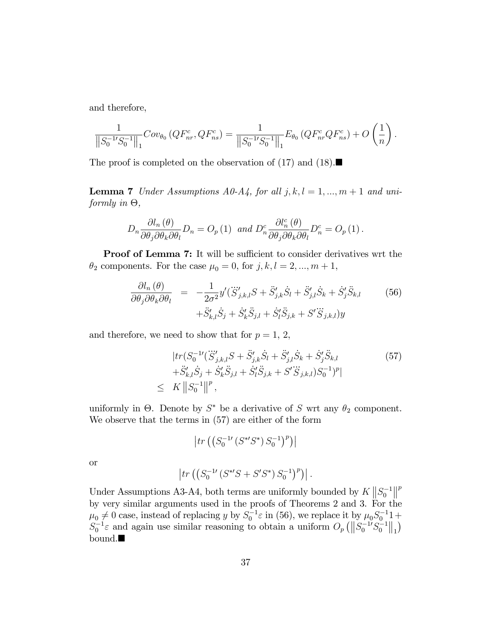and therefore,

$$
\frac{1}{\left\|S_0^{-1}S_0^{-1}\right\|_1}Cov_{\theta_0}\left(QF_{nr}^c,QF_{ns}^c\right) = \frac{1}{\left\|S_0^{-1}S_0^{-1}\right\|_1}E_{\theta_0}\left(QF_{nr}^cQF_{ns}^c\right) + O\left(\frac{1}{n}\right).
$$

The proof is completed on the observation of (17) and (18).

**Lemma 7** Under Assumptions A0-A4, for all  $j, k, l = 1, ..., m + 1$  and uniformly in  $\Theta$ ,

$$
D_n \frac{\partial l_n(\theta)}{\partial \theta_j \partial \theta_k \partial \theta_l} D_n = O_p(1) \text{ and } D_n^c \frac{\partial l_n^c(\theta)}{\partial \theta_j \partial \theta_k \partial \theta_l} D_n^c = O_p(1).
$$

Proof of Lemma 7: It will be sufficient to consider derivatives wrt the  $\theta_2$  components. For the case  $\mu_0 = 0$ , for  $j, k, l = 2, ..., m + 1$ ,

$$
\frac{\partial l_n(\theta)}{\partial \theta_j \partial \theta_k \partial \theta_l} = -\frac{1}{2\sigma^2} y'(\ddot{S}'_{j,k,l}S + \ddot{S}'_{j,k}\dot{S}_l + \ddot{S}'_{j,l}\dot{S}_k + \dot{S}'_j\ddot{S}_{k,l} \qquad (56) + \ddot{S}'_{k,l}\dot{S}_j + \dot{S}'_k\ddot{S}_{j,l} + \dot{S}'_l\ddot{S}_{j,k} + S'\dddot{S}_{j,k,l}y
$$

and therefore, we need to show that for  $p = 1, 2$ ,

$$
|tr(S_0^{-1\prime}(\dddot{S}_{j,k,l}^{\prime}S + \ddot{S}_{j,k}^{\prime}\dot{S}_l + \ddot{S}_{j,l}^{\prime}\dot{S}_k + \dot{S}_j^{\prime}\ddot{S}_{k,l} + \ddot{S}_{k,l}^{\prime}\dot{S}_j + \dot{S}_{k}^{\prime}\ddot{S}_{j,l} + \dot{S}_{l}^{\prime}\ddot{S}_{j,k} + S^{\prime}\dddot{S}_{j,k,l})S_0^{-1})^p| \leq K ||S_0^{-1}||^p,
$$
 (57)

uniformly in  $\Theta$ . Denote by  $S^*$  be a derivative of S wrt any  $\theta_2$  component. We observe that the terms in (57) are either of the form

$$
\left|tr\left(\left(S_0^{-1\prime}\left(S^{*\prime}S^*\right)S_0^{-1}\right)^p\right)\right|
$$

or

$$
\left| tr \left( \left( S_0^{-1} \left( S^{*'} S + S' S^* \right) S_0^{-1} \right)^p \right) \right|.
$$

Under Assumptions A3-A4, both terms are uniformly bounded by  $K \left\| S_0^{-1} \right\|^p$ by very similar arguments used in the proofs of Theorems 2 and 3. For the  $\mu_0 \neq 0$  case, instead of replacing y by  $S_0^{-1} \varepsilon$  in (56), we replace it by  $\mu_0 S_0^{-1} 1 +$  $S_0^{-1}\varepsilon$  and again use similar reasoning to obtain a uniform  $O_p(\left\|S_0^{-1}S_0^{-1}\right\|_1)$ bound.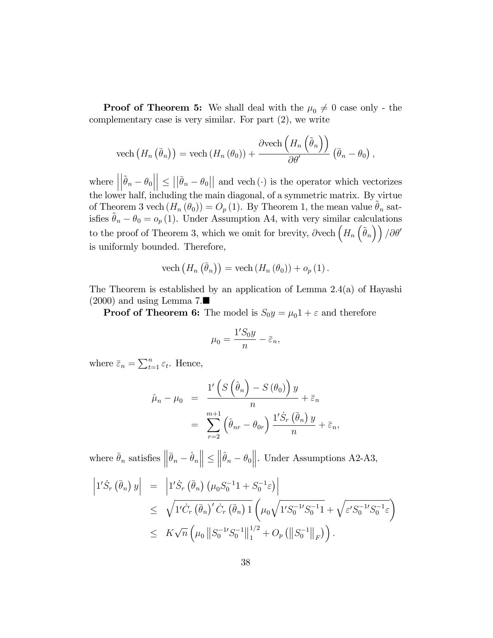**Proof of Theorem 5:** We shall deal with the  $\mu_0 \neq 0$  case only - the complementary case is very similar. For part (2), we write

vech 
$$
(H_n(\bar{\theta}_n))
$$
 = vech  $(H_n(\theta_0))$  +  $\frac{\partial \text{vech} (H_n(\tilde{\theta}_n))}{\partial \theta'}(\bar{\theta}_n - \theta_0)$ ,

where  $\Big|$  $\left| \tilde{\boldsymbol{\theta}}_n - \boldsymbol{\theta}_0 \right|$  $\vert \leq \vert \vert \bar{\theta}_n - \theta_0 \vert \vert$  and vech (.) is the operator which vectorizes the lower half, including the main diagonal, of a symmetric matrix. By virtue of Theorem 3 vech  $(H_n(\theta_0)) = O_p(1)$ . By Theorem 1, the mean value  $\tilde{\theta}_n$  satisfies  $\tilde{\theta}_n - \theta_0 = o_p(1)$ . Under Assumption A4, with very similar calculations to the proof of Theorem 3, which we omit for brevity,  $\partial$  vech  $(H_n(\tilde{\theta}_n))/\partial\theta'$ is uniformly bounded. Therefore,

vech 
$$
(H_n(\bar{\theta}_n))
$$
 = vech  $(H_n(\theta_0)) + o_p(1)$ .

The Theorem is established by an application of Lemma 2.4(a) of Hayashi  $(2000)$  and using Lemma 7.

**Proof of Theorem 6:** The model is  $S_0y = \mu_01 + \varepsilon$  and therefore

$$
\mu_0 = \frac{1'S_0y}{n} - \bar{\varepsilon}_n,
$$

where  $\bar{\varepsilon}_n = \sum_{t=1}^n \varepsilon_t$ . Hence,

$$
\hat{\mu}_n - \mu_0 = \frac{1'\left(S\left(\hat{\theta}_n\right) - S\left(\theta_0\right)\right)y}{n} + \bar{\varepsilon}_n
$$

$$
= \sum_{r=2}^{m+1} \left(\hat{\theta}_{nr} - \theta_{0r}\right) \frac{1'\dot{S}_r\left(\bar{\theta}_n\right)y}{n} + \bar{\varepsilon}_n,
$$

where  $\bar{\theta}_n$  satisfies  $\left\|\bar{\theta}_n - \hat{\theta}_n\right\| \leq$  $\left\|\hat{\theta}_n - \theta_0\right\|$ . Under Assumptions A2-A3,

$$
\begin{array}{rcl}\n\left|1'\dot{S}_r\left(\bar{\theta}_n\right)y\right| & = & \left|1'\dot{S}_r\left(\bar{\theta}_n\right)\left(\mu_0 S_0^{-1}1 + S_0^{-1}\varepsilon\right)\right| \\
& \leq & \sqrt{1'\dot{C}_r\left(\bar{\theta}_n\right)'\dot{C}_r\left(\bar{\theta}_n\right)1}\left(\mu_0\sqrt{1'S_0^{-1}S_0^{-1}1} + \sqrt{\varepsilon'S_0^{-1}S_0^{-1}\varepsilon}\right) \\
& \leq & K\sqrt{n}\left(\mu_0\left\|S_0^{-1}S_0^{-1}\right\|_1^{1/2} + O_p\left(\left\|S_0^{-1}\right\|_F\right)\right).\n\end{array}
$$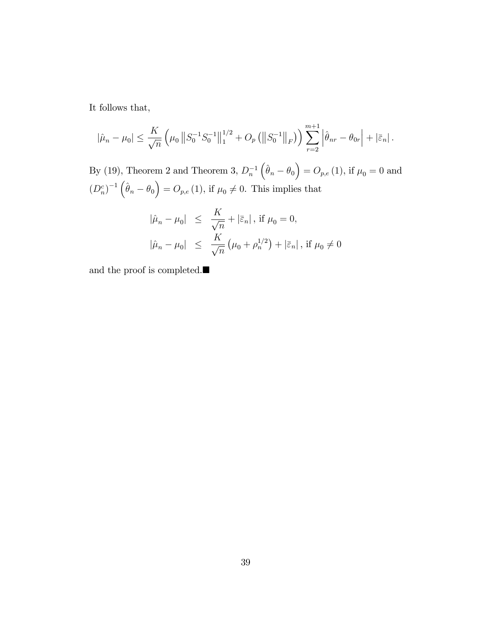It follows that,

$$
|\hat{\mu}_n - \mu_0| \le \frac{K}{\sqrt{n}} \left( \mu_0 \|S_0^{-1} S_0^{-1}\|_1^{1/2} + O_p \left( \|S_0^{-1}\|_F \right) \right) \sum_{r=2}^{m+1} \left| \hat{\theta}_{nr} - \theta_{0r} \right| + \left| \bar{\varepsilon}_n \right|.
$$

By (19), Theorem 2 and Theorem 3,  $D_n^{-1}$  $(\hat{\theta}_n - \theta_0) = O_{p,e} (1)$ , if  $\mu_0 = 0$  and  $(D_n^c)^{-1}(\hat{\theta}_n - \theta_0) = O_{p,e}(1)$ , if  $\mu_0 \neq 0$ . This implies that

$$
\begin{array}{rcl} |\hat{\mu}_n - \mu_0| & \leq & \frac{K}{\sqrt{n}} + |\bar{\varepsilon}_n| \,, \text{ if } \mu_0 = 0, \\ |\hat{\mu}_n - \mu_0| & \leq & \frac{K}{\sqrt{n}} \left( \mu_0 + \rho_n^{1/2} \right) + |\bar{\varepsilon}_n| \,, \text{ if } \mu_0 \neq 0 \end{array}
$$

and the proof is completed.<br> $\blacksquare$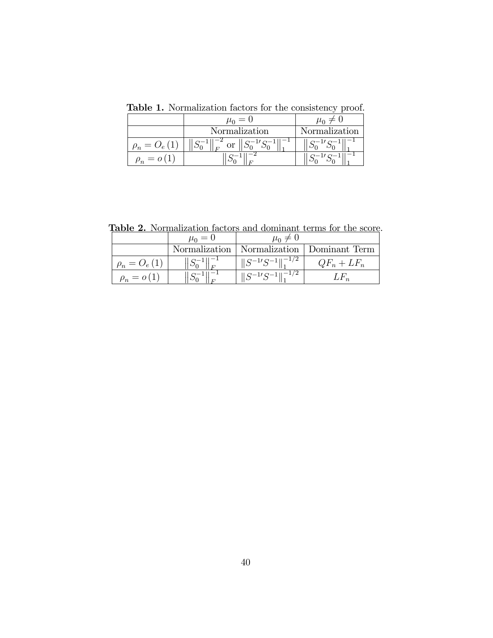|            | $\mu_0 = 0$          |               |
|------------|----------------------|---------------|
|            | <b>Normalization</b> | Normalization |
| $\rho_n$   | $\overline{L}$       |               |
| $\rho_n =$ |                      |               |

Table 1. Normalization factors for the consistency proof.

Table 2. Normalization factors and dominant terms for the score.

|                   | $\mu_0 = 0$             | $\mu_0 \neq 0$                |                                               |
|-------------------|-------------------------|-------------------------------|-----------------------------------------------|
|                   |                         |                               | Normalization   Normalization   Dominant Term |
| $\rho_n = O_e(1)$ | $  S_0^{-1}  _{F}^{-1}$ | $\ S^{-1}S^{-1}\ _1^{-1/2}$   | $QF_n + LF_n$                                 |
| $\rho_n = o(1)$   | $\frac{1}{2}S_0^{-1}$   | $\ S^{-1}S^{-1}\ _{1}^{-1/2}$ | $L_{n}$                                       |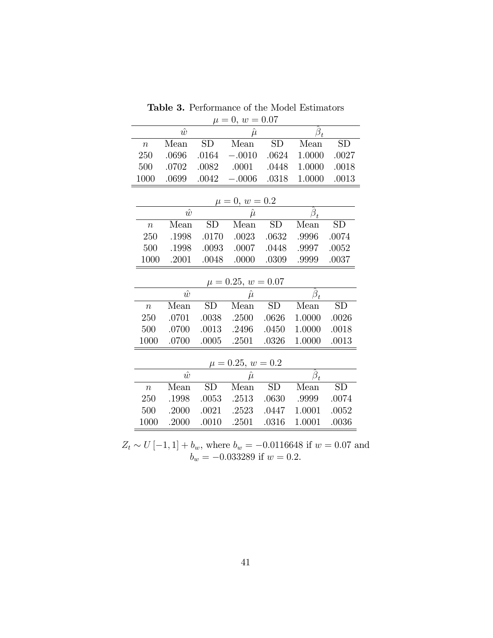| $\mu = 0, w = 0.07$                                      |           |           |                        |           |                              |           |  |
|----------------------------------------------------------|-----------|-----------|------------------------|-----------|------------------------------|-----------|--|
| $\hat{w}$<br>$\hat{\boldsymbol{\beta}}_t$<br>$\hat{\mu}$ |           |           |                        |           |                              |           |  |
| $\overline{n}$                                           | Mean      | SD        | Mean                   | <b>SD</b> | Mean                         | <b>SD</b> |  |
| 250                                                      | .0696     | .0164     | $-.0010$               | .0624     | 1.0000                       | .0027     |  |
| 500                                                      | .0702     | .0082     | .0001                  | .0448     | 1.0000                       | .0018     |  |
| 1000                                                     | .0699     | .0042     | $-.0006$               | .0318     | 1.0000                       | .0013     |  |
|                                                          |           |           |                        |           |                              |           |  |
|                                                          |           |           | $\mu = 0, w = 0.2$     |           |                              |           |  |
|                                                          | $\hat{w}$ |           | $\hat{\mu}$            |           | $\hat{\bm{\beta}}_t$         |           |  |
| $\boldsymbol{n}$                                         | Mean      | <b>SD</b> | Mean                   | <b>SD</b> | Mean                         | <b>SD</b> |  |
| 250                                                      | .1998     | .0170     | .0023                  | .0632     | .9996                        | .0074     |  |
| 500                                                      | .1998     | .0093     | .0007                  | .0448     | .9997                        | .0052     |  |
| 1000                                                     | .2001     | .0048     | .0000                  | .0309     | .9999                        | .0037     |  |
|                                                          |           |           | $\mu = 0.25, w = 0.07$ |           |                              |           |  |
|                                                          | $\hat{w}$ |           | $\hat{\mu}$            |           | $\beta_t$                    |           |  |
| $\boldsymbol{n}$                                         | Mean      | <b>SD</b> | Mean                   | <b>SD</b> | Mean                         | <b>SD</b> |  |
| 250                                                      | .0701     | .0038     | .2500                  | .0626     | 1.0000                       | .0026     |  |
| 500                                                      | .0700     | .0013     | .2496                  | .0450     | 1.0000                       | .0018     |  |
| 1000                                                     | .0700     | .0005     | .2501                  | .0326     | 1.0000                       | .0013     |  |
|                                                          |           |           |                        |           |                              |           |  |
| $\mu = 0.25, w = 0.2$                                    |           |           |                        |           |                              |           |  |
|                                                          | $\hat{w}$ |           | $\hat{\mu}$            |           | $\hat{\boldsymbol{\beta}}_t$ |           |  |
| $\boldsymbol{n}$                                         | Mean      | <b>SD</b> | Mean                   | <b>SD</b> | Mean                         | <b>SD</b> |  |
| 250                                                      | .1998     | .0053     | .2513                  | .0630     | .9999                        | .0074     |  |
| 500                                                      | .2000     | .0021     | .2523                  | .0447     | 1.0001                       | .0052     |  |
| 1000                                                     | .2000     | .0010     | .2501                  | .0316     | 1.0001                       | .0036     |  |

**Table 3.** Performance of the Model Estimators

 $Z_t \sim U[-1, 1] + b_w$ , where  $b_w = -0.0116648$  if  $w = 0.07$  and  $b_w = -0.033289$  if  $w = 0.2$ .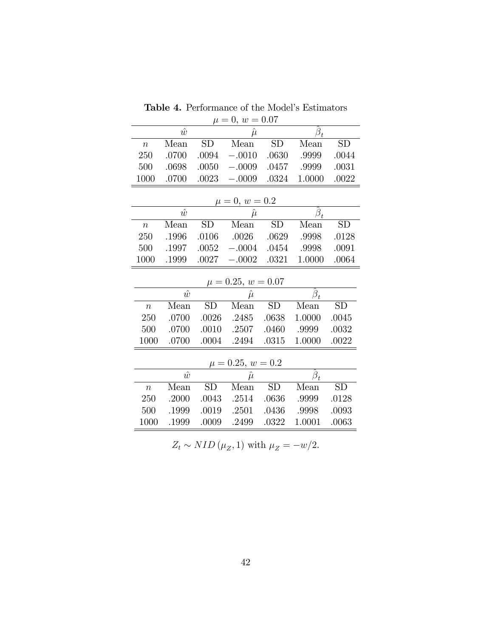| $\mu = 0, w = 0.07$                                                |           |           |                        |           |                              |           |  |  |
|--------------------------------------------------------------------|-----------|-----------|------------------------|-----------|------------------------------|-----------|--|--|
|                                                                    | $\hat{w}$ |           | $\hat{\mu}$            |           | $\hat{\boldsymbol{\beta}}_t$ |           |  |  |
| $\boldsymbol{n}$                                                   | Mean      | SD        | Mean                   | <b>SD</b> | Mean                         | <b>SD</b> |  |  |
| 250                                                                | .0700     | .0094     | $-.0010$               | .0630     | .9999                        | .0044     |  |  |
| 500                                                                | .0698     | .0050     | $-.0009$               | .0457     | .9999                        | .0031     |  |  |
| 1000                                                               | .0700     | .0023     | $-.0009$               | .0324     | 1.0000                       | .0022     |  |  |
|                                                                    |           |           |                        |           |                              |           |  |  |
|                                                                    |           |           | $\mu = 0, w = 0.2$     |           |                              |           |  |  |
|                                                                    | $\hat{w}$ |           | $\hat{\mu}$            |           | $\hat{\boldsymbol{\beta}}_t$ |           |  |  |
| $\overline{n}$                                                     | Mean      | SD        | Mean                   | <b>SD</b> | Mean                         | SD        |  |  |
| 250                                                                | .1996     | .0106     | .0026                  | .0629     | .9998                        | .0128     |  |  |
| 500                                                                | .1997     | .0052     | $-.0004$               | .0454     | .9998                        | .0091     |  |  |
| 1000                                                               | .1999     | .0027     | $-.0002$               | .0321     | 1.0000                       | .0064     |  |  |
|                                                                    |           |           | $\mu = 0.25, w = 0.07$ |           |                              |           |  |  |
|                                                                    | $\hat{w}$ |           | $\hat{\mu}$            |           | $\beta_t$                    |           |  |  |
| $\boldsymbol{n}$                                                   | Mean      | <b>SD</b> | Mean                   | <b>SD</b> | Mean                         | SD        |  |  |
| 250                                                                | .0700     | .0026     | .2485                  | .0638     | 1.0000                       | .0045     |  |  |
| 500                                                                | .0700     | .0010     | .2507                  | .0460     | .9999                        | .0032     |  |  |
| 1000                                                               | .0700     | .0004     | .2494                  | .0315     | 1.0000                       | .0022     |  |  |
|                                                                    |           |           |                        |           |                              |           |  |  |
| $\mu = 0.25, w = 0.2$<br>$\hat{\boldsymbol{\beta}}_t$<br>$\hat{w}$ |           |           |                        |           |                              |           |  |  |
|                                                                    | Mean      | <b>SD</b> | $\hat{\mu}$<br>Mean    | <b>SD</b> | Mean                         | SD        |  |  |
| $\boldsymbol{n}$                                                   |           |           |                        |           |                              |           |  |  |
| 250                                                                | .2000     | .0043     | .2514                  | .0636     | .9999                        | .0128     |  |  |
| 500                                                                | .1999     | .0019     | .2501                  | .0436     | .9998                        | .0093     |  |  |
| 1000                                                               | .1999     | .0009     | .2499                  | .0322     | 1.0001                       | .0063     |  |  |

Table 4. Performance of the Model's Estimators

 $Z_t \sim NID(\mu_Z, 1)$  with  $\mu_Z = -w/2$ .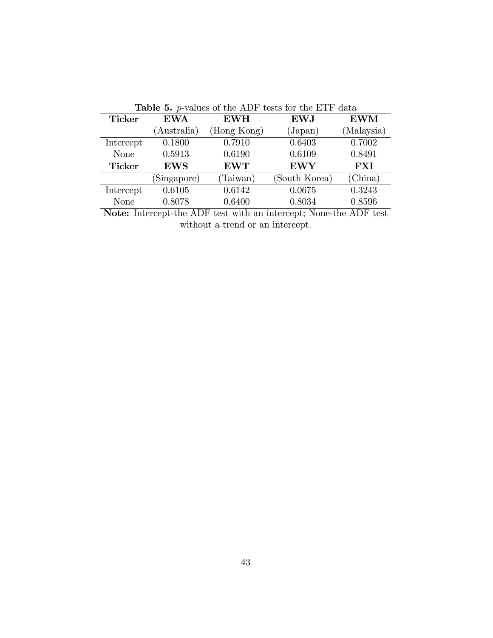|                                                                   |             |             | <b>Lable 0.</b> $p$ values of the TIDI vestes for the LIT data |            |  |  |
|-------------------------------------------------------------------|-------------|-------------|----------------------------------------------------------------|------------|--|--|
| <b>Ticker</b>                                                     | <b>EWA</b>  | <b>EWH</b>  | <b>EWJ</b>                                                     | <b>EWM</b> |  |  |
|                                                                   | (Australia) | (Hong Kong) | $\rm (Japan)$                                                  | (Malaysia) |  |  |
| Intercept                                                         | 0.1800      | 0.7910      | 0.6403                                                         | 0.7002     |  |  |
| <b>None</b>                                                       | 0.5913      | 0.6190      | 0.6109                                                         | 0.8491     |  |  |
| <b>Ticker</b>                                                     | <b>EWS</b>  | <b>EWT</b>  | <b>EWY</b>                                                     | <b>FXI</b> |  |  |
|                                                                   | (Singapore) | (Taiwan)    | (South Korea)                                                  | (China)    |  |  |
| Intercept                                                         | 0.6105      | 0.6142      | 0.0675                                                         | 0.3243     |  |  |
| <b>None</b>                                                       | 0.8078      | 0.6400      | 0.8034                                                         | 0.8596     |  |  |
| Note: Intercept the ADF tost with an intercept: None the ADF tost |             |             |                                                                |            |  |  |

Table 5. p-values of the ADF tests for the ETF data

Note: Intercept-the ADF test with an intercept; None-the ADF test without a trend or an intercept.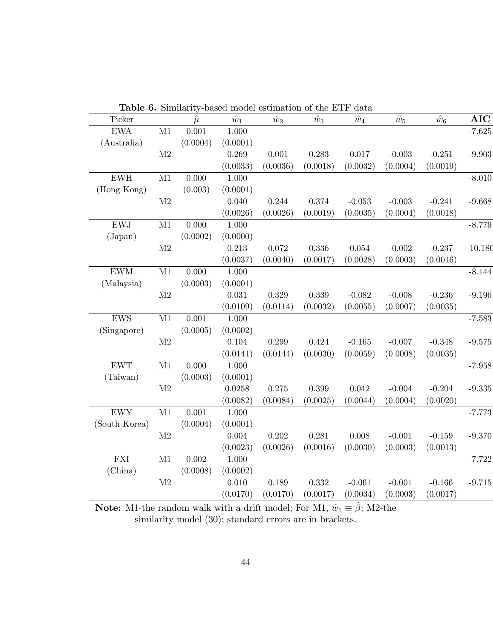|                             |               | <b>Lable 6.</b> Similarity-based model estimation of the EIF data |             |             |             |             |             |             |            |
|-----------------------------|---------------|-------------------------------------------------------------------|-------------|-------------|-------------|-------------|-------------|-------------|------------|
| Ticker                      |               | $\hat{\mu}$                                                       | $\hat{w}_1$ | $\hat{w}_2$ | $\hat{w}_3$ | $\hat{w}_4$ | $\hat{w}_5$ | $\hat{w}_6$ | <b>AIC</b> |
| <b>EWA</b>                  | M1            | 0.001                                                             | 1.000       |             |             |             |             |             | $-7.625$   |
| (Australia)                 |               | (0.0004)                                                          | (0.0001)    |             |             |             |             |             |            |
|                             | $\rm M2$      |                                                                   | 0.269       | $0.001\,$   | 0.283       | 0.017       | $-0.003$    | $-0.251$    | $-9.903$   |
|                             |               |                                                                   | (0.0033)    | (0.0036)    | (0.0018)    | (0.0032)    | (0.0004)    | (0.0019)    |            |
| ${\rm EWH}$                 | M1            | 0.000                                                             | 1.000       |             |             |             |             |             | $-8.010$   |
| (Hong Kong)                 |               | (0.003)                                                           | (0.0001)    |             |             |             |             |             |            |
|                             | $\mathbf{M}2$ |                                                                   | 0.040       | 0.244       | $0.374\,$   | $-0.053$    | $-0.003$    | $-0.241$    | $-9.668$   |
|                             |               |                                                                   | (0.0026)    | (0.0026)    | (0.0019)    | (0.0035)    | (0.0004)    | (0.0018)    |            |
| <b>EWJ</b>                  | M1            | 0.000                                                             | 1.000       |             |             |             |             |             | $-8.779$   |
| (Japan)                     |               | (0.0002)                                                          | (0.0000)    |             |             |             |             |             |            |
|                             | $\rm M2$      |                                                                   | 0.213       | 0.072       | 0.336       | 0.054       | $-0.002$    | $-0.237$    | $-10.180$  |
|                             |               |                                                                   | (0.0037)    | (0.0040)    | (0.0017)    | (0.0028)    | (0.0003)    | (0.0016)    |            |
| $\mathrm{EWM}$              | M1            | 0.000                                                             | 1.000       |             |             |             |             |             | $-8.144$   |
| (Malaysia)                  |               | (0.0003)                                                          | (0.0001)    |             |             |             |             |             |            |
|                             | $\mathbf{M}2$ |                                                                   | 0.031       | $0.329\,$   | $0.339\,$   | $-0.082$    | $-0.008$    | $-0.236$    | $-9.196$   |
|                             |               |                                                                   | (0.0109)    | (0.0114)    | (0.0032)    | (0.0055)    | (0.0007)    | (0.0035)    |            |
| ${\rm EWS}$                 | $\rm M1$      | 0.001                                                             | 1.000       |             |             |             |             |             | $-7.583$   |
| (Singapore)                 |               | (0.0005)                                                          | (0.0002)    |             |             |             |             |             |            |
|                             | $\mathbf{M}2$ |                                                                   | 0.104       | 0.299       | 0.424       | $-0.165$    | $-0.007$    | $-0.348$    | $-9.575$   |
|                             |               |                                                                   | (0.0141)    | (0.0144)    | (0.0030)    | (0.0059)    | (0.0008)    | (0.0035)    |            |
| ${\rm EWT}$                 | M1            | 0.000                                                             | 1.000       |             |             |             |             |             | $-7.958$   |
| (Taiwan)                    |               | (0.0003)                                                          | (0.0001)    |             |             |             |             |             |            |
|                             | $\mathbf{M}2$ |                                                                   | 0.0258      | $0.275\,$   | $0.399\,$   | 0.042       | $-0.004$    | $-0.204$    | $-9.335$   |
|                             |               |                                                                   | (0.0082)    | (0.0084)    | (0.0025)    | (0.0044)    | (0.0004)    | (0.0020)    |            |
| ${\rm EWY}$                 | $\rm M1$      | 0.001                                                             | 1.000       |             |             |             |             |             | $-7.773$   |
| (South Korea)               |               | (0.0004)                                                          | (0.0001)    |             |             |             |             |             |            |
|                             | $\mathbf{M}2$ |                                                                   | 0.004       | $0.202\,$   | 0.281       | 0.008       | $-0.001$    | $-0.159$    | $-9.370$   |
|                             |               |                                                                   | (0.0023)    | (0.0026)    | (0.0016)    | (0.0030)    | (0.0003)    | (0.0013)    |            |
| $\mathop{\rm FXI}\nolimits$ | M1            | $0.002\,$                                                         | 1.000       |             |             |             |             |             | $-7.722$   |
| (China)                     |               | (0.0008)                                                          | (0.0002)    |             |             |             |             |             |            |
|                             | $\mathbf{M}2$ |                                                                   | 0.010       | 0.189       | 0.332       | $-0.061$    | $-0.001$    | $-0.166$    | $-9.715$   |
|                             |               |                                                                   | (0.0170)    | (0.0170)    | (0.0017)    | (0.0034)    | (0.0003)    | (0.0017)    |            |

Table 6. Similarity-based model estimation of the ETF data

**Note:** M1-the random walk with a drift model; For M1,  $\hat{w}_1 \equiv \hat{\beta}$ ; M2-the similarity model  $(30)$ ; standard errors are in brackets.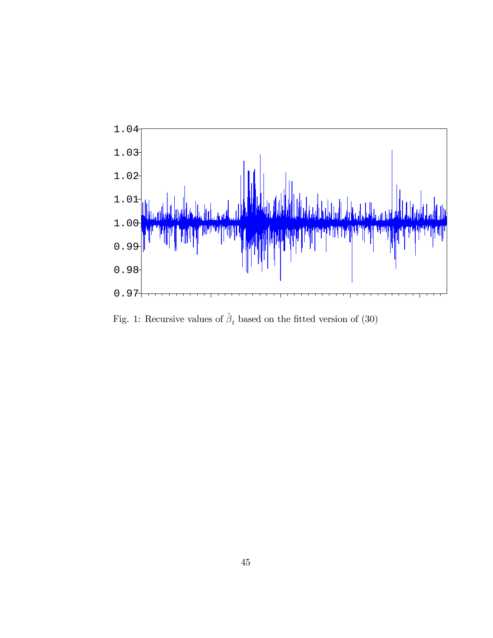

Fig. 1: Recursive values of  $\hat{\beta}_t$  based on the fitted version of (30)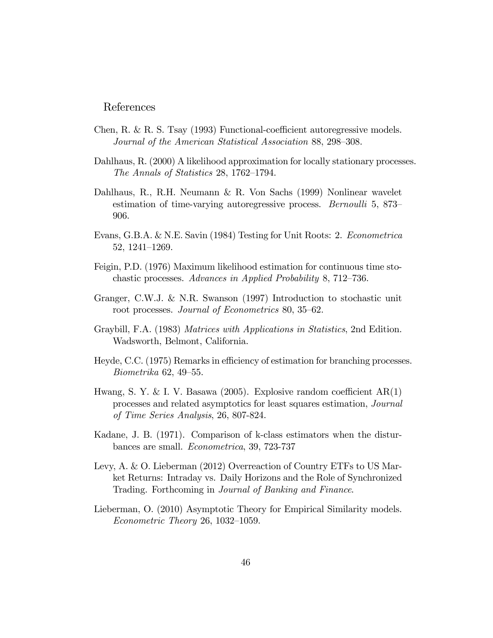#### References

- Chen, R. & R. S. Tsay  $(1993)$  Functional-coefficient autoregressive models. Journal of the American Statistical Association 88, 298–308.
- Dahlhaus, R. (2000) A likelihood approximation for locally stationary processes. The Annals of Statistics 28, 1762–1794.
- Dahlhaus, R., R.H. Neumann & R. Von Sachs (1999) Nonlinear wavelet estimation of time-varying autoregressive process. *Bernoulli* 5, 873– 906.
- Evans, G.B.A. & N.E. Savin (1984) Testing for Unit Roots: 2. Econometrica 52, 1241-1269.
- Feigin, P.D. (1976) Maximum likelihood estimation for continuous time stochastic processes. Advances in Applied Probability 8, 712–736.
- Granger, C.W.J. & N.R. Swanson (1997) Introduction to stochastic unit root processes. Journal of Econometrics 80, 35–62.
- Graybill, F.A. (1983) Matrices with Applications in Statistics, 2nd Edition. Wadsworth, Belmont, California.
- Heyde, C.C. (1975) Remarks in efficiency of estimation for branching processes.  $Biometrika$  62, 49–55.
- Hwang, S. Y. & I. V. Basawa (2005). Explosive random coefficient  $AR(1)$ processes and related asymptotics for least squares estimation, Journal of Time Series Analysis, 26, 807-824.
- Kadane, J. B. (1971). Comparison of k-class estimators when the disturbances are small. Econometrica, 39, 723-737
- Levy, A. & O. Lieberman (2012) Overreaction of Country ETFs to US Market Returns: Intraday vs. Daily Horizons and the Role of Synchronized Trading. Forthcoming in Journal of Banking and Finance.
- Lieberman, O. (2010) Asymptotic Theory for Empirical Similarity models.  $Econometric Theory 26, 1032-1059.$